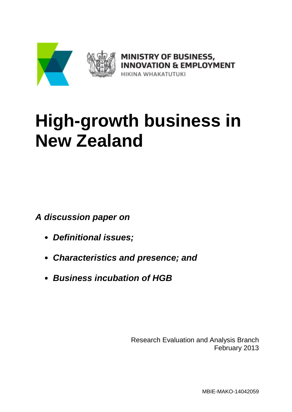

# **High-growth business in New Zealand**

*A discussion paper on*

- *Definitional issues;*
- *Characteristics and presence; and*
- *Business incubation of HGB*

Research Evaluation and Analysis Branch February 2013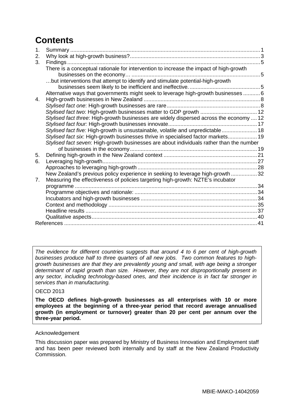# **Contents**

| 1. |                                                                                          |  |
|----|------------------------------------------------------------------------------------------|--|
| 2. |                                                                                          |  |
| 3. |                                                                                          |  |
|    | There is a conceptual rationale for intervention to increase the impact of high-growth   |  |
|    |                                                                                          |  |
|    | but interventions that attempt to identify and stimulate potential-high-growth           |  |
|    |                                                                                          |  |
|    | Alternative ways that governments might seek to leverage high-growth businesses  6       |  |
| 4. |                                                                                          |  |
|    |                                                                                          |  |
|    |                                                                                          |  |
|    | Stylised fact three: High-growth businesses are widely dispersed across the economy  12  |  |
|    |                                                                                          |  |
|    | Stylised fact five: High-growth is unsustainable, volatile and unpredictable 18          |  |
|    | Stylised fact six: High-growth businesses thrive in specialised factor markets 19        |  |
|    | Stylised fact seven: High-growth businesses are about individuals rather than the number |  |
|    |                                                                                          |  |
| 5. |                                                                                          |  |
| 6. |                                                                                          |  |
|    |                                                                                          |  |
|    | New Zealand's previous policy experience in seeking to leverage high-growth  32          |  |
| 7. | Measuring the effectiveness of policies targeting high-growth: NZTE's incubator          |  |
|    |                                                                                          |  |
|    |                                                                                          |  |
|    |                                                                                          |  |
|    |                                                                                          |  |
|    |                                                                                          |  |
|    |                                                                                          |  |
|    |                                                                                          |  |
|    |                                                                                          |  |

*The evidence for different countries suggests that around 4 to 6 per cent of high-growth businesses produce half to three quarters of all new jobs. Two common features to highgrowth businesses are that they are prevalently young and small, with age being a stronger determinant of rapid growth than size. However, they are not disproportionally present in any sector, including technology-based ones, and their incidence is in fact far stronger in services than in manufacturing.*

#### OECD 2013

**The OECD defines high-growth businesses as all enterprises with 10 or more employees at the beginning of a three-year period that record average annualised growth (in employment or turnover) greater than 20 per cent per annum over the three-year period.**

#### Acknowledgement

This discussion paper was prepared by Ministry of Business Innovation and Employment staff and has been peer reviewed both internally and by staff at the New Zealand Productivity Commission.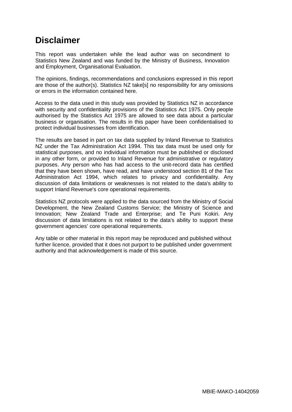# **Disclaimer**

This report was undertaken while the lead author was on secondment to Statistics New Zealand and was funded by the Ministry of Business, Innovation and Employment, Organisational Evaluation.

The opinions, findings, recommendations and conclusions expressed in this report are those of the author(s). Statistics NZ take[s] no responsibility for any omissions or errors in the information contained here.

Access to the data used in this study was provided by Statistics NZ in accordance with security and confidentiality provisions of the Statistics Act 1975. Only people authorised by the Statistics Act 1975 are allowed to see data about a particular business or organisation. The results in this paper have been confidentialised to protect individual businesses from identification.

The results are based in part on tax data supplied by Inland Revenue to Statistics NZ under the Tax Administration Act 1994. This tax data must be used only for statistical purposes, and no individual information must be published or disclosed in any other form, or provided to Inland Revenue for administrative or regulatory purposes. Any person who has had access to the unit-record data has certified that they have been shown, have read, and have understood section 81 of the Tax Administration Act 1994, which relates to privacy and confidentiality. Any discussion of data limitations or weaknesses is not related to the data's ability to support Inland Revenue's core operational requirements.

Statistics NZ protocols were applied to the data sourced from the Ministry of Social Development, the New Zealand Customs Service; the Ministry of Science and Innovation; New Zealand Trade and Enterprise; and Te Puni Kokiri. Any discussion of data limitations is not related to the data's ability to support these government agencies' core operational requirements.

Any table or other material in this report may be reproduced and published without further licence, provided that it does not purport to be published under government authority and that acknowledgement is made of this source.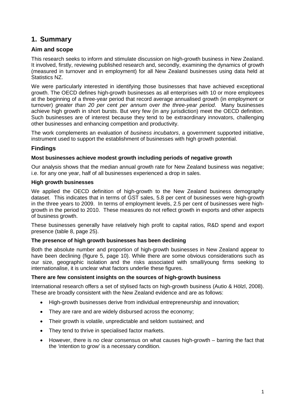## <span id="page-3-0"></span>**1. Summary**

## **Aim and scope**

This research seeks to inform and stimulate discussion on high-growth business in New Zealand. It involved, firstly, reviewing published research and, secondly, examining the dynamics of growth (measured in turnover and in employment) for all New Zealand businesses using data held at Statistics NZ.

We were particularly interested in identifying those businesses that have achieved exceptional growth. The OECD defines high-growth businesses as all enterprises with 10 or more employees at the beginning of a three-year period that record average annualised growth (in employment or turnover) *greater than 20 per cent per annum over the three-year period*. Many businesses achieve high growth in short bursts. But very few (in any jurisdiction) meet the OECD definition. Such businesses are of interest because they tend to be extraordinary innovators, challenging other businesses and enhancing competition and productivity.

The work complements an evaluation of *business incubators*, a government supported initiative, instrument used to support the establishment of businesses with high growth potential.

## **Findings**

#### **Most businesses achieve modest growth including periods of negative growth**

Our analysis shows that the median annual growth rate for New Zealand business was negative; i.e. for any one year, half of all businesses experienced a drop in sales.

#### **High growth businesses**

We applied the OECD definition of high-growth to the New Zealand business demography dataset. This indicates that in terms of GST sales, 5.8 per cent of businesses were high-growth in the three years to 2009. In terms of employment levels, 2.5 per cent of businesses were highgrowth in the period to 2010. These measures do not reflect growth in exports and other aspects of business growth.

These businesses generally have relatively high profit to capital ratios, R&D spend and export presence (table 8, page 25).

#### **The presence of high growth businesses has been declining**

Both the absolute number and proportion of high-growth businesses in New Zealand appear to have been declining (figure 5, page 10). While there are some obvious considerations such as our size, geographic isolation and the risks associated with small/young firms seeking to internationalise, it is unclear what factors underlie these figures.

#### **There are few consistent insights on the sources of high-growth business**

International research offers a set of stylised facts on high-growth business (Autio & Hölzl, 2008). These are broadly consistent with the New Zealand evidence and are as follows:

- High-growth businesses derive from individual entrepreneurship and innovation;
- They are rare and are widely disbursed across the economy;
- Their growth is volatile, unpredictable and seldom sustained; and
- They tend to thrive in specialised factor markets.
- <span id="page-3-1"></span>• However, there is no clear consensus on what causes high-growth – barring the fact that the 'intention to grow' is a necessary condition.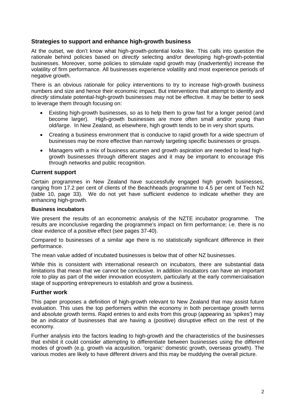#### **Strategies to support and enhance high-growth business**

At the outset, we don't know what high-growth-potential looks like. This calls into question the rationale behind policies based on *directly* selecting and/or developing high-growth-potential businesses. Moreover, some policies to stimulate rapid growth may (inadvertently) increase the volatility of firm performance. All businesses experience volatility and most experience periods of negative growth.

There is an obvious rationale for policy interventions to try to increase high-growth business numbers and size and hence their economic impact. But interventions that attempt to identify and *directly* stimulate potential-high-growth businesses may not be effective. It may be better to seek to leverage them through focusing on:

- Existing high-growth businesses, so as to help them to grow fast for a longer period (and become larger). High-growth businesses are more often small and/or young than old/large. In New Zealand, as elsewhere, high growth tends to be in very short spurts.
- Creating a business environment that is conducive to rapid growth for a wide spectrum of businesses may be more effective than narrowly targeting specific businesses or groups.
- Managers with a mix of business acumen and growth aspiration are needed to lead highgrowth businesses through different stages and it may be important to encourage this through networks and public recognition.

#### **Current support**

Certain programmes in New Zealand have successfully engaged high growth businesses, ranging from 17.2 per cent of clients of the Beachheads programme to 4.5 per cent of Tech NZ (table 10, page 33). We do not yet have sufficient evidence to indicate whether they are enhancing high-growth.

#### **Business incubators**

We present the results of an econometric analysis of the NZTE incubator programme. The results are inconclusive regarding the programme's impact on firm performance; i.e. there is no clear evidence of a positive effect (see pages 37-40).

Compared to businesses of a similar age there is no statistically significant difference in their performance.

The mean value added of incubated businesses is below that of other NZ businesses.

While this is consistent with international research on incubators, there are substantial data limitations that mean that we cannot be conclusive. In addition incubators can have an important role to play as part of the wider innovation ecosystem, particularly at the early commercialisation stage of supporting entrepreneurs to establish and grow a business.

#### **Further work**

This paper proposes a definition of high-growth relevant to New Zealand that may assist future evaluation. This uses the top performers within the economy in both percentage growth terms and absolute growth terms. Rapid entries to and exits from this group (appearing as 'spikes') may be an indicator of businesses that are having a (positive) disruptive effect on the rest of the economy.

Further analysis into the factors leading to high-growth and the characteristics of the businesses that exhibit it could consider attempting to differentiate between businesses using the different modes of growth (e.g. growth via acquisition, 'organic' domestic growth, overseas growth). The various modes are likely to have different drivers and this may be muddying the overall picture.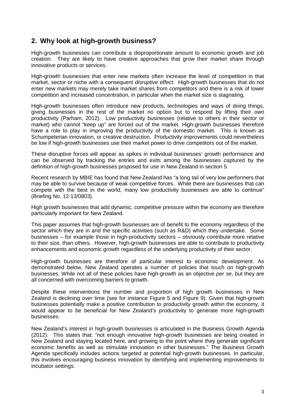## <span id="page-5-0"></span>**2. Why look at high-growth business?**

High-growth businesses can contribute a disproportionate amount to economic growth and job creation. They are likely to have creative approaches that grow their market share through innovative products or services.

High-growth businesses that enter new markets often increase the level of competition in that market, sector or niche with a consequent *disruptive effect*. High-growth businesses that do not enter new markets may merely take market shares from competitors and there is a risk of lower competition and increased concentration, in particular when the market size is stagnating.

High-growth businesses often introduce new products, technologies and ways of doing things, giving businesses in the rest of the market no option but to respond by lifting their own productivity (Parham, 2012). Low productivity businesses (relative to others in their sector or market) who cannot "keep up" are forced out of the market. High-growth businesses therefore have a role to play in improving the productivity of the domestic market. This is known as Schumpeterian innovation, or creative destruction. Productivity improvements could nevertheless be low if high-growth businesses use their market power to drive competitors out of the market.

These disruptive forces will appear as spikes in individual businesses' growth performance and can be observed by tracking the entries and exits among the businesses captured by the definition of high-growth businesses proposed for use in New Zealand in section [5.](#page-23-0)

Recent research by MBIE has found that New Zealand has "a long tail of very low performers that may be able to survive because of weak competitive forces. While there are businesses that can compete with the best in the world, many low productivity businesses are able to continue" (Briefing No. 12-13/0803).

High growth businesses that add dynamic, competitive pressure within the economy are therefore particularly important for New Zealand.

This paper assumes that high-growth businesses are of benefit to the economy regardless of the sector which they are in and the specific activities (such as R&D) which they undertake. Some businesses – for example those in high-productivity sectors – obviously contribute more relative to their size, than others. However, high-growth businesses are able to contribute to productivity enhancements and economic growth regardless of the underlying productivity of their sector.

High-growth businesses are therefore of particular interest to economic development. As demonstrated below, New Zealand operates a number of policies that touch on high-growth businesses. While not all of these policies have high-growth as an objective *per se*, but they are all concerned with overcoming barriers to growth.

Despite these interventions the number and proportion of high growth businesses in New Zealand is declining over time (see for instance [Figure 5](#page-12-0) and Figure 9). Given that high-growth businesses potentially make a positive contribution to productivity growth within the economy, it would appear to be beneficial for New Zealand's productivity to generate more high-growth businesses.

New Zealand's interest in high-growth businesses is articulated in the Business Growth Agenda (2012). This states that: "not enough innovative high-growth businesses are being created in New Zealand and staying located here, and growing to the point where they generate significant economic benefits as well as stimulate innovation in other businesses." The Business Growth Agenda specifically includes actions targeted at potential high-growth businesses. In particular, this involves encouraging business innovation by identifying and implementing improvements to incubator settings.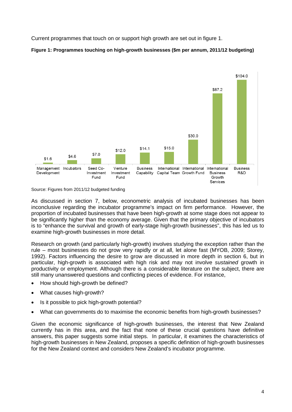Current programmes that touch on or support high growth are set out in figure 1.





Source: Figures from 2011/12 budgeted funding

As discussed in section 7, below, econometric analysis of incubated businesses has been inconclusive regarding the incubator programme's impact on firm performance. However, the proportion of incubated businesses that have been high-growth at some stage does not appear to be significantly higher than the economy average. Given that the primary objective of incubators is to "enhance the survival and growth of early-stage high-growth businesses", this has led us to examine high-growth businesses in more detail.

Research on growth (and particularly high-growth) involves studying the exception rather than the rule – most businesses do not grow very rapidly or at all, let alone fast (MYOB, 2009; Storey, 1992). Factors influencing the desire to grow are discussed in more depth in section 6, but in particular, high-growth is associated with high risk and may not involve *sustained* growth in productivity or employment. Although there is a considerable literature on the subject, there are still many unanswered questions and conflicting pieces of evidence. For instance,

- How should high-growth be defined?
- What causes high-growth?
- Is it possible to pick high-growth potential?
- What can governments do to maximise the economic benefits from high-growth businesses?

Given the economic significance of high-growth businesses, the interest that New Zealand currently has in this area, and the fact that none of these crucial questions have definitive answers, this paper suggests some initial steps. In particular, it examines the characteristics of high-growth businesses in New Zealand, proposes a specific definition of high-growth businesses for the New Zealand context and considers New Zealand's incubator programme.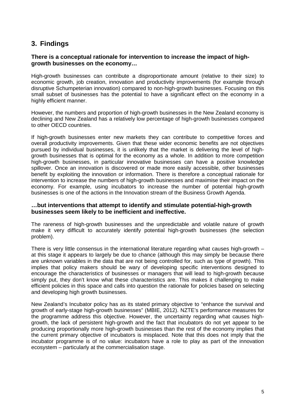## <span id="page-7-0"></span>**3. Findings**

#### <span id="page-7-1"></span>**There is a conceptual rationale for intervention to increase the impact of highgrowth businesses on the economy…**

High-growth businesses can contribute a disproportionate amount (relative to their size) to economic growth, job creation, innovation and productivity improvements (for example through disruptive Schumpeterian innovation) compared to non-high-growth businesses. Focusing on this small subset of businesses has the potential to have a significant effect on the economy in a highly efficient manner.

However, the numbers and proportion of high-growth businesses in the New Zealand economy is declining and New Zealand has a relatively low percentage of high-growth businesses compared to other OECD countries.

If high-growth businesses enter new markets they can contribute to competitive forces and overall productivity improvements. Given that these wider economic benefits are not objectives pursued by individual businesses, it is unlikely that the market is delivering the level of highgrowth businesses that is optimal for the economy as a whole. In addition to more competition high-growth businesses, in particular innovative businesses can have a positive knowledge spillover. Once an innovation is discovered or made more easily accessible, other businesses benefit by exploiting the innovation or information. There is therefore a conceptual rationale for intervention to increase the numbers of high-growth businesses and maximise their impact on the economy. For example, using incubators to increase the number of potential high-growth businesses is one of the actions in the Innovation stream of the Business Growth Agenda.

#### <span id="page-7-2"></span>**…but interventions that attempt to identify and stimulate potential-high-growth businesses seem likely to be inefficient and ineffective.**

The rareness of high-growth businesses and the unpredictable and volatile nature of growth make it very difficult to accurately identify potential high-growth businesses (the selection problem).

There is very little consensus in the international literature regarding what causes high-growth – at this stage it appears to largely be due to chance (although this may simply be because there are unknown variables in the data that are not being controlled for, such as type of growth). This implies that policy makers should be wary of developing specific interventions designed to encourage the characteristics of businesses or managers that will lead to high-growth because simply put, they don't know what these characteristics are. This makes it challenging to make efficient policies in this space and calls into question the rationale for policies based on selecting and developing high growth businesses.

New Zealand's Incubator policy has as its stated primary objective to "enhance the survival and growth of early-stage high-growth businesses" (MBIE, 2012). NZTE's performance measures for the programme address this objective. However, the uncertainty regarding what causes highgrowth, the lack of persistent high-growth and the fact that incubators do not yet appear to be producing proportionally more high-growth businesses than the rest of the economy implies that the current primary objective of incubators is misplaced. Note that this does not imply that the incubator programme is of no value: incubators have a role to play as part of the innovation ecosystem – particularly at the commercialisation stage.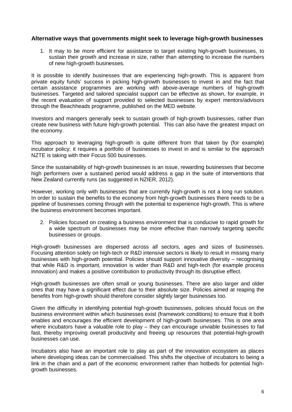#### <span id="page-8-0"></span>**Alternative ways that governments might seek to leverage high-growth businesses**

1. It may to be more efficient for assistance to target existing high-growth businesses, to sustain their growth and increase in size, rather than attempting to increase the numbers of new high-growth businesses.

It is possible to identify businesses that are experiencing high-growth. This is apparent from private equity funds' success in picking high-growth businesses to invest in and the fact that certain assistance programmes are working with above-average numbers of high-growth businesses. Targeted and tailored specialist support can be effective as shown, for example, in the recent evaluation of support provided to selected businesses by expert mentors/advisors through the Beachheads programme, published on the MED website.

Investors and mangers generally seek to sustain growth of high-growth businesses, rather than create new business with future high-growth potential. This can also have the greatest impact on the economy.

This approach to leveraging high-growth is quite different from that taken by (for example) incubator policy; it requires a portfolio of businesses to invest in and is similar to the approach NZTE is taking with their Focus 500 businesses.

Since the sustainability of high-growth businesses is an issue, rewarding businesses that become high performers over a sustained period would address a gap in the suite of interventions that New Zealand currently runs (as suggested in NZIER, 2012).

However, working only with businesses that are currently high-growth is not a long run solution. In order to sustain the benefits to the economy from high-growth businesses there needs to be a pipeline of businesses coming through with the potential to experience high-growth. This is where the business environment becomes important.

2. Policies focused on creating a business environment that is conducive to rapid growth for a wide spectrum of businesses may be more effective than narrowly targeting specific businesses or groups.

High-growth businesses are dispersed across all sectors, ages and sizes of businesses. Focusing attention solely on high-tech or R&D intensive sectors is likely to result in missing many businesses with high-growth potential. Policies should support innovative diversity – recognising that while R&D is important, innovation is wider than R&D and high-tech (for example process innovation) and makes a positive contribution to productivity through its disruptive effect.

High-growth businesses are often small or young businesses. There are also larger and older ones that may have a significant effect due to their absolute size. Policies aimed at reaping the benefits from high-growth should therefore consider slightly larger businesses too.

Given the difficulty in identifying potential high-growth businesses, policies should focus on the business environment within which businesses exist (framework conditions) to ensure that it both enables and encourages the efficient development of high-growth businesses. This is one area where incubators have a valuable role to play – they can encourage unviable businesses to fail fast, thereby improving overall productivity and freeing up resources that potential-high-growth businesses can use.

Incubators also have an important role to play as part of the innovation ecosystem as places where developing ideas can be commercialised. This shifts the objective of incubators to being a link in the chain and a part of the economic environment rather than hotbeds for potential highgrowth businesses.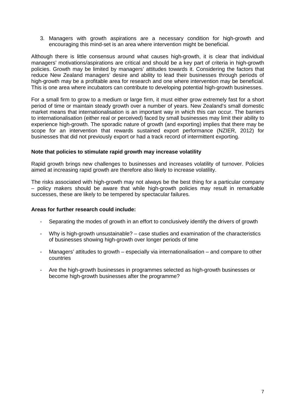3. Managers with growth aspirations are a necessary condition for high-growth and encouraging this mind-set is an area where intervention might be beneficial.

Although there is little consensus around what causes high-growth, it is clear that individual managers' motivations/aspirations are critical and should be a key part of criteria in high-growth policies. Growth may be limited by managers' attitudes towards it. Considering the factors that reduce New Zealand managers' desire and ability to lead their businesses through periods of high-growth may be a profitable area for research and one where intervention may be beneficial. This is one area where incubators can contribute to developing potential high-growth businesses.

For a small firm to grow to a medium or large firm, it must either grow extremely fast for a short period of time or maintain steady growth over a number of years. New Zealand's small domestic market means that internationalisation is an important way in which this can occur. The barriers to internationalisation (either real or perceived) faced by small businesses may limit their ability to experience high-growth. The sporadic nature of growth (and exporting) implies that there may be scope for an intervention that rewards sustained export performance (NZIER, 2012) for businesses that did not previously export or had a track record of intermittent exporting.

#### **Note that policies to stimulate rapid growth may increase volatility**

Rapid growth brings new challenges to businesses and increases volatility of turnover. Policies aimed at increasing rapid growth are therefore also likely to increase volatility.

The risks associated with high-growth may not always be the best thing for a particular company – policy makers should be aware that while high-growth policies may result in remarkable successes, these are likely to be tempered by spectacular failures.

#### **Areas for further research could include:**

- Separating the modes of growth in an effort to conclusively identify the drivers of growth
- Why is high-growth unsustainable? case studies and examination of the characteristics of businesses showing high-growth over longer periods of time
- Managers' attitudes to growth especially via internationalisation and compare to other countries
- Are the high-growth businesses in programmes selected as high-growth businesses or become high-growth businesses after the programme?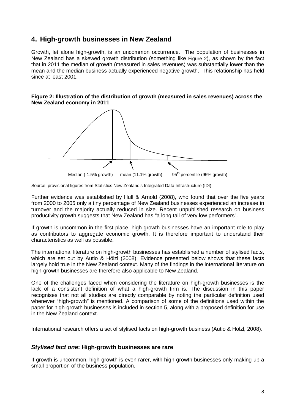## <span id="page-10-0"></span>**4. High-growth businesses in New Zealand**

Growth, let alone high-growth, is an uncommon occurrence. The population of businesses in New Zealand has a skewed growth distribution (something like [Figure 2\)](#page-10-2), as shown by the fact that in 2011 the median of growth (measured in sales revenues) was substantially lower than the mean and the median business actually experienced negative growth. This relationship has held since at least 2001.

<span id="page-10-2"></span>**Figure 2: Illustration of the distribution of growth (measured in sales revenues) across the New Zealand economy in 2011** 



Source: provisional figures from Statistics New Zealand's Integrated Data Infrastructure (IDI)

Further evidence was established by Hull & Arnold (2008), who found that over the five years from 2000 to 2005 only a tiny percentage of New Zealand businesses experienced an increase in turnover and the majority actually reduced in size. Recent unpublished research on business productivity growth suggests that New Zealand has "a long tail of very low performers".

If growth is uncommon in the first place, high-growth businesses have an important role to play as contributors to aggregate economic growth. It is therefore important to understand their characteristics as well as possible.

The international literature on high-growth businesses has established a number of stylised facts, which are set out by Autio & Hölzl (2008). Evidence presented below shows that these facts largely hold true in the New Zealand context. Many of the findings in the international literature on high-growth businesses are therefore also applicable to New Zealand.

One of the challenges faced when considering the literature on high-growth businesses is the lack of a consistent definition of what a high-growth firm is. The discussion in this paper recognises that not all studies are directly comparable by noting the particular definition used whenever "high-growth" is mentioned. A comparison of some of the definitions used within the paper for high-growth businesses is included in section 5, along with a proposed definition for use in the New Zealand context.

International research offers a set of stylised facts on high-growth business (Autio & Hölzl, 2008).

#### <span id="page-10-1"></span>*Stylised fact one***: High-growth businesses are rare**

If growth is uncommon, high-growth is even rarer, with high-growth businesses only making up a small proportion of the business population.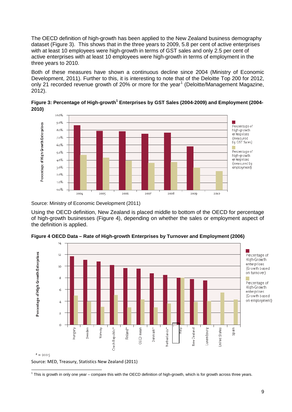The OECD definition of high-growth has been applied to the New Zealand business demography dataset [\(Figure 3\)](#page-11-0). This shows that in the three years to 2009, 5.8 per cent of active enterprises with at least 10 employees were high-growth in terms of GST sales and only 2.5 per cent of active enterprises with at least 10 employees were high-growth in terms of employment in the three years to 2010.

Both of these measures have shown a continuous decline since 2004 (Ministry of Economic Development, 2011). Further to this, it is interesting to note that of the Deloitte Top 200 for 2012, only 2[1](#page-3-1) recorded revenue growth of 20% or more for the year<sup>1</sup> (Deloitte/Management Magazine, 2012).

<span id="page-11-0"></span>

|       | Figure 3: Percentage of High-growth <sup>1</sup> Enterprises by GST Sales (2004-2009) and Employment (2004- |  |
|-------|-------------------------------------------------------------------------------------------------------------|--|
| 2010) |                                                                                                             |  |



Source: Ministry of Economic Development (2011)

Using the OECD definition, New Zealand is placed middle to bottom of the OECD for percentage of high-growth businesses (Figure 4), depending on whether the sales or employment aspect of the definition is applied.



**Figure 4 OECD Data – Rate of High-growth Enterprises by Turnover and Employment (2006)** 

<span id="page-11-1"></span>Source: MED, Treasury, Statistics New Zealand (2011)

1 This is growth in only one year – compare this with the OECD definition of high-growth, which is for growth across three years.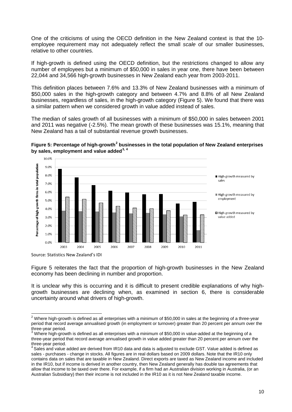One of the criticisms of using the OECD definition in the New Zealand context is that the 10 employee requirement may not adequately reflect the small *scale* of our smaller businesses, relative to other countries.

If high-growth is defined using the OECD definition, but the restrictions changed to allow any number of employees but a minimum of \$50,000 in sales in year one, there have been between 22,044 and 34,566 high-growth businesses in New Zealand each year from 2003-2011.

This definition places between 7.6% and 13.3% of New Zealand businesses with a minimum of \$50,000 sales in the high-growth category and between 4.7% and 8.8% of all New Zealand businesses, regardless of sales, in the high-growth category [\(Figure 5\)](#page-12-0). We found that there was a similar pattern when we considered growth in value added instead of sales.

The median of sales growth of all businesses with a minimum of \$50,000 in sales between 2001 and 2011 was negative (-2.5%). The mean growth of these businesses was 15.1%, meaning that New Zealand has a tail of substantial revenue growth businesses.

<span id="page-12-0"></span>





[Figure 5](#page-12-0) reiterates the fact that the proportion of high-growth businesses in the New Zealand economy has been declining in number and proportion.

It is unclear why this is occurring and it is difficult to present credible explanations of why highgrowth businesses are declining when, as examined in section 6, there is considerable uncertainty around what drivers of high-growth.

 $2$  Where high-growth is defined as all enterprises with a minimum of \$50,000 in sales at the beginning of a three-year period that record average annualised growth (in employment or turnover) greater than 20 percent per annum over the<br>three-year period.

<span id="page-12-1"></span> $3$  Where high-growth is defined as all enterprises with a minimum of \$50,000 in value-added at the beginning of a three-year period that record average annualised growth in value added greater than 20 percent per annum over the three-year period.<br><sup>4</sup> Sales and value added are derived from IR10 data and data is adjusted to exclude GST. Value added is defined as

<span id="page-12-3"></span><span id="page-12-2"></span>sales - purchases - change in stocks. All figures are in real dollars based on 2009 dollars. Note that the IR10 only contains data on sales that are taxable in New Zealand. Direct exports are taxed as New Zealand income and included in the IR10, but if income is derived in another country, then New Zealand generally has double tax agreements that allow that income to be taxed over there. For example, if a firm had an Australian division working in Australia, (or an Australian Subsidiary) then their income is not included in the IR10 as it is not New Zealand taxable income.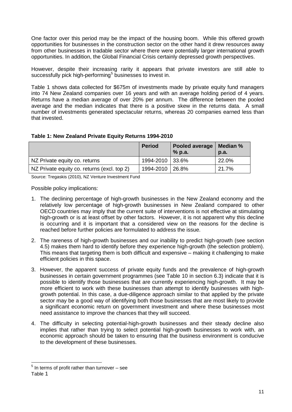One factor over this period may be the impact of the housing boom. While this offered growth opportunities for businesses in the construction sector on the other hand it drew resources away from other businesses in tradable sector where there were potentially larger international growth opportunities. In addition, the Global Financial Crisis certainly depressed growth perspectives.

However, despite their increasing rarity it appears th[at private investors are still able to](#page-13-0)  successfully pick high-performing<sup>[5](#page-12-3)</sup> businesses to invest in.

[Table 1](#page-13-0) shows data collected for \$675m of investments made by private equity fund managers into 74 New Zealand companies over 16 years and with an average holding period of 4 years. Returns have a median average of over 20% per annum. The difference between the pooled average and the median indicates that there is a positive skew in the returns data. A small number of investments generated spectacular returns, whereas 20 companies earned less than that invested.

<span id="page-13-0"></span>

|                                             | <b>Period</b>     | Pooled average<br>% p.a. | Median %<br>p.a. |
|---------------------------------------------|-------------------|--------------------------|------------------|
| NZ Private equity co. returns               | 1994-2010 33.6%   |                          | 22.0%            |
| NZ Private equity co. returns (excl. top 2) | 1994-2010   26.8% |                          | 21.7%            |

Source: Tregaskis (2010), NZ Venture Investment Fund

Possible policy implications:

- 1. The declining percentage of high-growth businesses in the New Zealand economy and the relatively low percentage of high-growth businesses in New Zealand compared to other OECD countries may imply that the current suite of interventions is not effective at stimulating high-growth or is at least offset by other factors. However, it is not apparent why this decline is occurring and it is important that a considered view on the reasons for the decline is reached before further policies are formulated to address the issue.
- 2. The rareness of high-growth businesses and our inability to predict high-growth (see section 4.5) makes them hard to identify before they experience high-growth (the selection problem). This means that targeting them is both difficult and expensive – making it challenging to make efficient policies in this space.
- 3. However, the apparent success of private equity funds and the prevalence of high-growth businesses in certain government programmes (see [Table 10](#page-35-0) in section 6.3) indicate that it is possible to identify those businesses that are currently experiencing high-growth. It may be more efficient to work with these businesses than attempt to identify businesses with highgrowth potential. In this case, a due-diligence approach similar to that applied by the private sector may be a good way of identifying both those businesses that are most likely to provide a significant economic return on government investment and where these businesses most need assistance to improve the chances that they will succeed.
- 4. The difficulty in selecting potential-high-growth businesses and their steady decline also implies that rather than trying to select potential high-growth businesses to work with, an economic approach should be taken to ensuring that the business environment is conducive to the development of these businesses.

<span id="page-13-1"></span> $5$ In terms of profit rather than turnover – see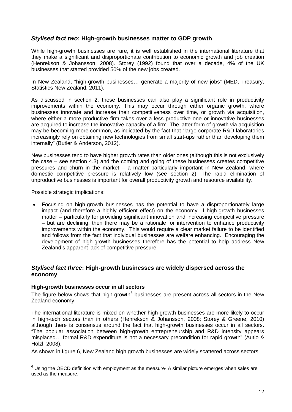#### <span id="page-14-0"></span>*Stylised fact two***: High-growth businesses matter to GDP growth**

While high-growth businesses are rare, it is well established in the international literature that they make a significant and disproportionate contribution to economic growth and job creation (Henrekson & Johansson, 2008). Storey (1992) found that over a decade, 4% of the UK businesses that started provided 50% of the new jobs created.

In New Zealand, "high-growth businesses… generate a majority of new jobs" (MED, Treasury, Statistics New Zealand, 2011).

As discussed in section 2, these businesses can also play a significant role in productivity improvements within the economy. This may occur through either organic growth, where businesses innovate and increase their competitiveness over time, or growth via acquisition, where either a more productive firm takes over a less productive one or innovative businesses are acquired to increase the innovative capacity of a firm. The latter form of growth via acquisition may be becoming more common, as indicated by the fact that "large corporate R&D laboratories increasingly rely on obtaining new technologies from small start-ups rather than developing them internally" (Butler & Anderson, 2012).

New businesses tend to have higher growth rates than older ones (although this is not exclusively the case – see section 4.3) and the coming and going of these businesses creates competitive pressures and churn in the market – a matter particularly important in New Zealand, where domestic competitive pressure is relatively low (see section 2). The rapid elimination of unproductive businesses is important for overall productivity growth and resource availability.

Possible strategic implications:

• Focusing on high-growth businesses has the potential to have a disproportionately large impact (and therefore a highly efficient effect) on the economy. If high-growth businesses matter – particularly for providing significant innovation and increasing competitive pressure – but are declining, then there may be a rationale for intervention to enhance productivity improvements within the economy. This would require a clear market failure to be identified and follows from the fact that individual businesses are welfare enhancing. Encouraging the development of high-growth businesses therefore has the potential to help address New Zealand's apparent lack of competitive pressure.

#### <span id="page-14-1"></span>*Stylised fact three***: High-growth businesses are widely dispersed across the economy**

#### **High-growth businesses occur in all sectors**

The figure below shows that high-growth $6$  businesses are present across all sectors in the New Zealand economy.

The international literature is mixed on whether high-growth businesses are more likely to occur in high-tech sectors than in others (Henrekson & Johansson, 2008; Storey & Greene, 2010) although there is consensus around the fact that high-growth businesses occur in all sectors. "The popular association between high-growth entrepreneurship and R&D intensity appears misplaced… formal R&D expenditure is not a necessary precondition for rapid growth" (Autio & Hölzl, 2008).

As shown in figure 6, New Zealand high growth businesses are widely scattered across sectors.

<span id="page-14-2"></span> $6$  Using the OECD definition with employment as the measure- A similar picture emerges when sales are used as the measure.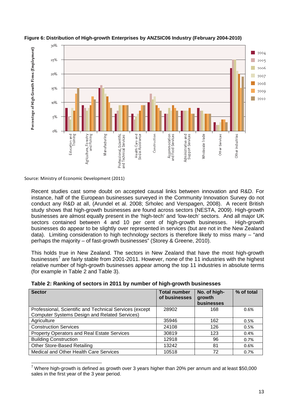



Source: Ministry of Economic Development (2011)

Recent studies cast some doubt on accepted causal links between innovation and R&D. For instance, half of the European businesses surveyed in the Community Innovation Survey do not conduct any R&D at all, (Arundel et al. 2008; Srholec and Verspagen, 2008). A recent British study shows that high-growth businesses are found across sectors (NESTA, 2009). High-growth businesses are almost equally present in the 'high-tech' and 'low-tech' sectors. And all major UK sectors contained between 4 and 10 per cent of high-growth businesses. High-growth businesses do appear to be slightly over represented in services (but are not in the New Zealand data). Limiting consideration to high technology sectors is therefore likely to miss many – "and perhaps the majority – of fast-growth businesses" (Storey & Greene, 2010).

This holds true in New Zealand. The sectors in New Zealand that have the most high-growth businesses<sup>[7](#page-14-2)</sup> are fairly stable from 2001-2011. However, none of the 11 industries with the highest relative number of high-growth businesses appear among the top 11 industries in absolute terms (for example in [Table 2](#page-15-0) and [Table 3\)](#page-16-0).

| <b>Sector</b>                                                                                                   | <b>Total number</b><br>of businesses | No. of high-<br>growth<br>businesses | % of total |
|-----------------------------------------------------------------------------------------------------------------|--------------------------------------|--------------------------------------|------------|
| Professional, Scientific and Technical Services (except<br><b>Computer Systems Design and Related Services)</b> | 28902                                | 168                                  | 0.6%       |
| Agriculture                                                                                                     | 35946                                | 162                                  | 0.5%       |

<span id="page-15-0"></span>

Construction Services 24108 24108 126 0.5% Property Operators and Real Estate Services | 30819 | 123 | 0.4% Building Construction **12918** 12918 96 0.7% Other Store-Based Retailing 13242 81 0.6% Medical and Other Health Care Services 10518 10518 72 0.7%

<span id="page-15-1"></span> $7$  Where high-growth is defined as growth over 3 years higher than 20% per annum and at least \$50,000 sales in the first year of the 3 year period.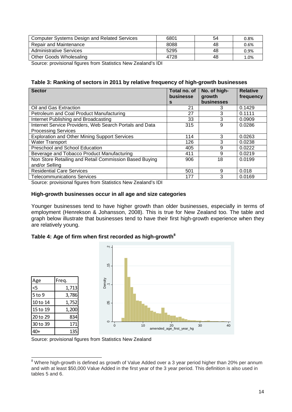| <b>Computer Systems Design and Related Services</b> | 6801 | 54 | 0.8% |
|-----------------------------------------------------|------|----|------|
| Repair and Maintenance                              | 8088 | 48 | 0.6% |
| <b>Administrative Services</b>                      | 5295 | 48 | 0.9% |
| Other Goods Wholesaling                             | 4728 | 48 | 1.0% |

Source: provisional figures from Statistics New Zealand's IDI

<span id="page-16-0"></span>

|  | Table 3: Ranking of sectors in 2011 by relative frequency of high-growth businesses |
|--|-------------------------------------------------------------------------------------|
|--|-------------------------------------------------------------------------------------|

| <b>Sector</b>                                           | Total no. of | No. of high- | <b>Relative</b> |
|---------------------------------------------------------|--------------|--------------|-----------------|
|                                                         | businesse    | growth       | frequency       |
|                                                         | s            | businesses   |                 |
| Oil and Gas Extraction                                  | 21           | 3            | 0.1429          |
| Petroleum and Coal Product Manufacturing                | 27           | 3            | 0.1111          |
| Internet Publishing and Broadcasting                    | 33           | 3            | 0.0909          |
| Internet Service Providers, Web Search Portals and Data | 315          | 9            | 0.0286          |
| <b>Processing Services</b>                              |              |              |                 |
| <b>Exploration and Other Mining Support Services</b>    | 114          | 3            | 0.0263          |
| <b>Water Transport</b>                                  | 126          | 3            | 0.0238          |
| Preschool and School Education                          | 405          | 9            | 0.0222          |
| Beverage and Tobacco Product Manufacturing              | 411          | 9            | 0.0219          |
| Non Store Retailing and Retail Commission Based Buying  | 906          | 18           | 0.0199          |
| and/or Selling                                          |              |              |                 |
| <b>Residential Care Services</b>                        | 501          | 9            | 0.018           |
| <b>Telecommunications Services</b>                      | 177          | 3            | 0.0169          |

Source: provisional figures from Statistics New Zealand's IDI

#### **High-growth businesses occur in all age and size categories**

Younger businesses tend to have higher growth than older businesses, especially in terms of employment (Henrekson & Johansson, 2008). This is true for New Zealand too. The table and graph below illustrate that businesses tend to have their first high-growth experience when they are relatively young.

<span id="page-16-2"></span>

| Table 4: Age of firm when first recorded as high-growth <sup>8</sup> |
|----------------------------------------------------------------------|
|----------------------------------------------------------------------|



Source: provisional figures from Statistics New Zealand

<span id="page-16-1"></span> $8$  Where high-growth is defined as growth of Value Added over a 3 year period higher than 20% per annum and with at least \$50,000 Value Added in the first year of the 3 year period. This definition is also used in tables 5 and 6.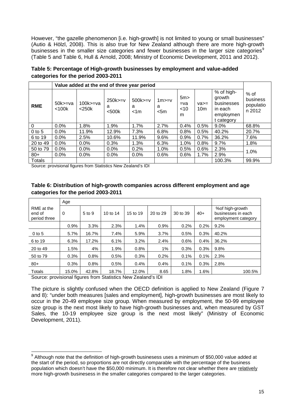However, "the gazelle phenomenon [i.e. high-growth] is not limited to young or small businesses" (Autio & Hölzl, 2008). This is also true for New Zealand although there are more high-growth businesses in the smaller size categories and fewer businesses in the larger size categories<sup>[9](#page-16-1)</sup> [\(Table 5](#page-17-0) and [Table 6,](#page-17-1) Hull & Arnold, 2008; Ministry of Economic Development, 2011 and 2012).

|               |                                      | Value added at the end of three year period |                          |                        |                        |                             |                                    |                                                                          |                                           |
|---------------|--------------------------------------|---------------------------------------------|--------------------------|------------------------|------------------------|-----------------------------|------------------------------------|--------------------------------------------------------------------------|-------------------------------------------|
| <b>RME</b>    | $50k$ $\geq$ $\vee$ a<br>$<$ 100 $k$ | $100k$ $=$ va<br>$<$ 250 $k$                | $250k>=v$<br>a<br>$500k$ | $500k>=v$<br>a<br>< 1m | $1m>=v$<br>a<br>$<$ 5m | 5m<br>$= va$<br>$<$ 10<br>m | $\vee$ a $\geq$<br>10 <sub>m</sub> | % of high-<br>growth<br>businesses<br>in each<br>employmen<br>t category | $%$ of<br>business<br>populatio<br>n 2012 |
| $\Omega$      | 0.0%                                 | 1.8%                                        | 1.9%                     | 1.7%                   | 2.7%                   | 0.4%                        | 0.5%                               | 9.0%                                                                     | 68.8%                                     |
| $0$ to 5      | 0.0%                                 | 11.9%                                       | 12.9%                    | 7.3%                   | 6.8%                   | 0.8%                        | 0.5%                               | 40.2%                                                                    | 20.7%                                     |
| 6 to 19       | 0.0%                                 | 2.5%                                        | 10.6%                    | 11.9%                  | 9.6%                   | 0.9%                        | 0.7%                               | 36.2%                                                                    | 7.6%                                      |
| 20 to 49      | $0.0\%$                              | $0.0\%$                                     | 0.3%                     | 1.3%                   | 6.3%                   | 1.0%                        | 0.8%                               | 9.7%                                                                     | 1.8%                                      |
| 50 to 79      | $0.0\%$                              | 0.0%                                        | $0.0\%$                  | 0.2%                   | 1.0%                   | 0.5%                        | 0.6%                               | 2.3%                                                                     |                                           |
| $80+$         | 0.0%                                 | 0.0%                                        | 0.0%                     | $0.0\%$                | 0.6%                   | 0.6%                        | 1.7%                               | 2.9%                                                                     | 1.0%                                      |
| <b>Totals</b> |                                      |                                             |                          |                        |                        |                             |                                    | 100.3%                                                                   | 99.9%                                     |

<span id="page-17-0"></span>**Table 5: Percentage of High-growth businesses by employment and value-added categories for the period 2003-2011** 

Source: provisional figures from Statistics New Zealand's IDI

<span id="page-17-1"></span>

| Table 6: Distribution of high-growth companies across different employment and age |
|------------------------------------------------------------------------------------|
| categories for the period 2003-2011                                                |

|                                      | Age         |        |          |          |          |          |       |                                                              |
|--------------------------------------|-------------|--------|----------|----------|----------|----------|-------|--------------------------------------------------------------|
| RME at the<br>end of<br>period three | $\mathbf 0$ | 5 to 9 | 10 to 14 | 15 to 19 | 20 to 29 | 30 to 39 | $40+$ | %of high-growth<br>businesses in each<br>employment category |
|                                      | 0.9%        | 3.3%   | 2.3%     | 1.4%     | 0.9%     | 0.2%     | 0.2%  | 9.2%                                                         |
| $0$ to 5                             | 5.7%        | 16.7%  | 7.4%     | 5.9%     | 3.7%     | 0.5%     | 0.3%  | 40.2%                                                        |
| 6 to 19                              | 6.3%        | 17.2%  | 6.1%     | 3.2%     | 2.4%     | 0.6%     | 0.4%  | 36.2%                                                        |
| 20 to 49                             | 1.5%        | 4%     | 1.9%     | 0.8%     | 1%       | 0.3%     | 0.3%  | 9.8%                                                         |
| 50 to 79                             | 0.3%        | 0.8%   | 0.5%     | 0.3%     | 0.2%     | 0.1%     | 0.1%  | 2.3%                                                         |
| $80+$                                | 0.3%        | 0.8%   | 0.5%     | 0.4%     | 0.4%     | 0.1%     | 0.3%  | 2.8%                                                         |
| Totals                               | 15.0%       | 42.8%  | 18.7%    | 12.0%    | 8.65     | 1.8%     | 1.6%  | 100.5%                                                       |

Source: provisional figures from Statistics New Zealand's IDI

The picture is slightly confused when the OECD definition is applied to New Zealand [\(Figure 7](#page-18-0) and 8): "under both measures [sales and employment], high-growth businesses are most likely to occur in the 20-49 employee size group. When measured by employment, the 50-99 employee size group is the next most likely to have high-growth businesses and, when measured by GST Sales, the 10-19 employee size group is the next most likely" (Ministry of Economic Development, 2011).

<span id="page-17-2"></span> $9$  Although note that the definition of high-growth businesess uses a minimum of \$50,000 value added at the start of the period, so proportions are not directly comparable with the percentage of the business population which doesn't have the \$50,000 minimum. It is therefore not clear whether there are relatively more high-growth businesess in the smaller categories compared to the larger categories.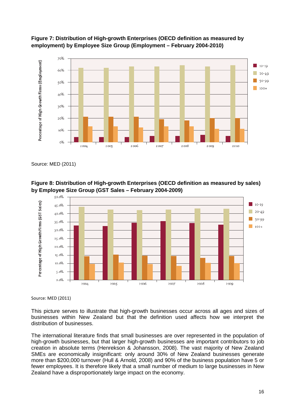

<span id="page-18-0"></span>

Source: MED (2011)





Source: MED (2011)

This picture serves to illustrate that high-growth businesses occur across all ages and sizes of businesses within New Zealand but that the definition used affects how we interpret the distribution of businesses.

The international literature finds that small businesses are over represented in the population of high-growth businesses, but that larger high-growth businesses are important contributors to job creation in absolute terms (Henrekson & Johansson, 2008). The vast majority of New Zealand SMEs are economically insignificant: only around 30% of New Zealand businesses generate more than \$200,000 turnover (Hull & Arnold, 2008) and 90% of the business population have 5 or fewer employees. It is therefore likely that a small number of medium to large businesses in New Zealand have a disproportionately large impact on the economy.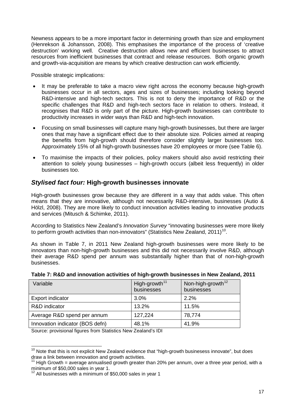Newness appears to be a more important factor in determining growth than size and employment (Henrekson & Johansson, 2008). This emphasises the importance of the process of 'creative destruction' working well. Creative destruction allows new and efficient businesses to attract resources from inefficient businesses that contract and release resources. Both organic growth and growth-via-acquisition are means by which creative destruction can work efficiently.

Possible strategic implications:

- It may be preferable to take a macro view right across the economy because high-growth businesses occur in all sectors, ages and sizes of businesses; including looking beyond R&D-intensive and high-tech sectors. This is not to deny the importance of R&D or the specific challenges that R&D and high-tech sectors face in relation to others. Instead, it recognises that R&D is only part of the picture. High-growth businesses can contribute to productivity increases in wider ways than R&D and high-tech innovation.
- Focusing on small businesses will capture many high-growth businesses, but there are larger ones that may have a significant effect due to their absolute size. Policies aimed at reaping the benefits from high-growth should therefore consider slightly larger businesses too. Approximately 15% of all high-growth businesses have 20 employees or more (see [Table 6\)](#page-17-1).
- To maximise the impacts of their policies, policy makers should also avoid restricting their attention to solely young businesses – high-growth occurs (albeit less frequently) in older businesses too.

## <span id="page-19-0"></span>*Stylised fact four:* **High-growth businesses innovate**

High-growth businesses grow because they are different in a way that adds value. This often means that they are innovative, although not necessarily R&D-intensive, businesses (Autio & Hölzl, 2008). They are more likely to conduct innovation activities leading to innovative products and services (Mitusch & Schimke, 2011).

According to Statistics New Zealand's *Innovation Survey* "innovating businesses were more likely to perform growth activities than non-innovators" (Statistics New Zealand,  $2011$ )<sup>[10](#page-17-2)</sup>.

As shown in [Table 7,](#page-19-1) in 2011 New Zealand high-growth businesses were more likely to be innovators than non-high-growth businesses and this did not necessarily involve R&D, although their average R&D spend per annum was substantially higher than that of non-high-growth businesses.

| Variable                        | High-growth <sup>11</sup><br>businesses | Non-high-growth <sup>12</sup><br>businesses |
|---------------------------------|-----------------------------------------|---------------------------------------------|
| Export indicator                | 3.0%                                    | 2.2%                                        |
| R&D indicator                   | 13.2%                                   | 11.5%                                       |
| Average R&D spend per annum     | 127,224                                 | 78,774                                      |
| Innovation indicator (BOS defn) | 48.1%                                   | 41.9%                                       |

#### <span id="page-19-1"></span>**Table 7: R&D and innovation activities of high-growth businesses in New Zealand, 2011**

Source: provisional figures from Statistics New Zealand's IDI

 $10$  Note that this is not explicit New Zealand evidence that "high-growth businesess innovate", but does draw a link between innovation and growth activities.

<span id="page-19-2"></span> $1$  High Growth = average annualised growth greater than 20% per annum, over a three year period, with a minimum of \$50,000 sales in year 1.

<span id="page-19-3"></span>All businesses with a minimum of \$50,000 sales in year 1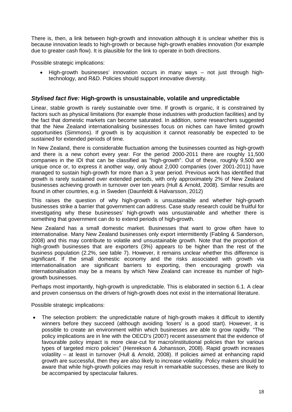There is, then, a link between high-growth and innovation although it is unclear whether this is because innovation leads to high-growth or because high-growth enables innovation (for example due to greater cash flow). It is plausible for the link to operate in both directions.

Possible strategic implications:

• High-growth businesses' innovation occurs in many ways – not just through hightechnology, and R&D. Policies should support innovative diversity.

#### <span id="page-20-0"></span>*Stylised fact five:* **High-growth is unsustainable, volatile and unpredictable**

Linear, stable growth is rarely sustainable over time. If growth is organic, it is constrained by factors such as physical limitations (for example those industries with production facilities) and by the fact that domestic markets can become saturated. In addition, some researchers suggested that the New Zealand internationalising businesses focus on niches can have limited growth opportunities (Simmons). If growth is by acquisition it cannot reasonably be expected to be sustained for extended periods of time.

In New Zealand, there is considerable fluctuation among the businesses counted as high-growth and there is a new cohort every year. For the period 2000-2011 there are roughly 11,500 companies in the IDI that can be classified as "high-growth". Out of these, roughly 9,500 are unique once or, to express it another way, only about 2,000 companies (over 2001-2011) have managed to sustain high-growth for more than a 3 year period. Previous work has identified that growth is rarely sustained over extended periods, with only approximately 2% of New Zealand businesses achieving growth in turnover over ten years (Hull & Arnold, 2008). Similar results are found in other countries, e.g. in Sweden (Daunfeldt & Halvarsson, 2012)

This raises the question of why high-growth is unsustainable and whether high-growth businesses strike a barrier that government can address. Case study research could be fruitful for investigating why these businesses' high-growth was unsustainable and whether there is something that government can do to extend periods of high-growth.

New Zealand has a small domestic market. Businesses that want to grow often have to internationalise. Many New Zealand businesses only export intermittently (Fabling & Sanderson, 2008) and this may contribute to volatile and unsustainable growth. Note that the proportion of high-growth businesses that are exporters (3%) appears to be higher than the rest of the business population (2.2%, see table 7). However, it remains unclear whether this difference is significant. If the small domestic economy and the risks associated with growth via internationalisation are significant barriers to exporting, then encouraging growth via internationalisation may be a means by which New Zealand can increase its number of highgrowth businesses.

Perhaps most importantly, high-growth is unpredictable. This is elaborated in section 6.1. A clear and proven consensus on the drivers of high-growth does not exist in the international literature.

Possible strategic implications:

The selection problem: the unpredictable nature of high-growth makes it difficult to identify winners before they succeed (although avoiding 'losers' is a good start). However, it is possible to create an environment within which businesses are able to grow rapidly. "The policy implications are in line with the OECD's (2007) recent assessment that the evidence of favourable policy impact is more clear-cut for macro/institutional policies than for various types of targeted micro policies" (Henrekson & Johansson, 2008). Rapid growth increases volatility – at least in turnover (Hull & Arnold, 2008). If policies aimed at enhancing rapid growth are successful, then they are also likely to increase volatility. Policy makers should be aware that while high-growth policies may result in remarkable successes, these are likely to be accompanied by spectacular failures.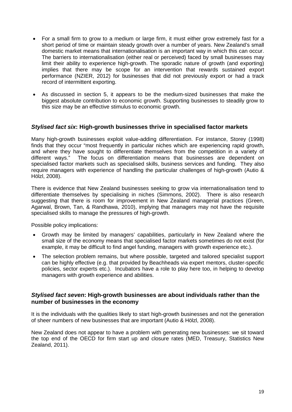- For a small firm to grow to a medium or large firm, it must either grow extremely fast for a short period of time or maintain steady growth over a number of years. New Zealand's small domestic market means that internationalisation is an important way in which this can occur. The barriers to internationalisation (either real or perceived) faced by small businesses may limit their ability to experience high-growth. The sporadic nature of growth (and exporting) implies that there may be scope for an intervention that rewards sustained export performance (NZIER, 2012) for businesses that did not previously export or had a track record of intermittent exporting.
- As discussed in section [5,](#page-23-0) it appears to be the medium-sized businesses that make the biggest absolute contribution to economic growth. Supporting businesses to steadily grow to this size may be an effective stimulus to economic growth.

#### <span id="page-21-0"></span>*Stylised fact six***: High-growth businesses thrive in specialised factor markets**

Many high-growth businesses exploit value-adding differentiation. For instance, Storey (1998) finds that they occur "most frequently in particular niches which are experiencing rapid growth, and where they have sought to differentiate themselves from the competition in a variety of different ways." The focus on differentiation means that businesses are dependent on specialised factor markets such as specialised skills, business services and funding. They also require managers with experience of handling the particular challenges of high-growth (Autio & Hölzl, 2008).

There is evidence that New Zealand businesses seeking to grow via internationalisation tend to differentiate themselves by specialising in niches (Simmons, 2002). There is also research suggesting that there is room for improvement in New Zealand managerial practices (Green, Agarwal, Brown, Tan, & Randhawa, 2010), implying that managers may not have the requisite specialised skills to manage the pressures of high-growth.

Possible policy implications:

- Growth may be limited by managers' capabilities, particularly in New Zealand where the small size of the economy means that specialised factor markets sometimes do not exist (for example, it may be difficult to find angel funding, managers with growth experience etc.).
- The selection problem remains, but where possible, targeted and tailored specialist support can be highly effective (e.g. that provided by Beachheads via expert mentors, cluster-specific policies, sector experts etc.). Incubators have a role to play here too, in helping to develop managers with growth experience and abilities.

#### <span id="page-21-1"></span>*Stylised fact seven***: High-growth businesses are about individuals rather than the number of businesses in the economy**

It is the individuals with the qualities likely to start high-growth businesses and not the generation of sheer numbers of new businesses that are important (Autio & Hölzl, 2008).

New Zealand does not appear to have a problem with generating new businesses: we sit toward the top end of the OECD for firm start up and closure rates (MED, Treasury, Statistics New Zealand, 2011).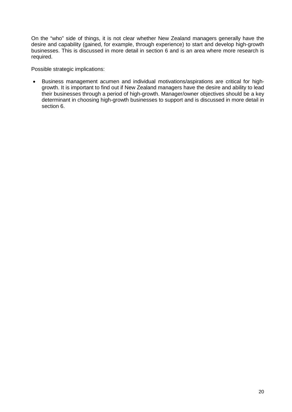On the "who" side of things, it is not clear whether New Zealand managers generally have the desire and capability (gained, for example, through experience) to start and develop high-growth businesses. This is discussed in more detail in section 6 and is an area where more research is required.

Possible strategic implications:

• Business management acumen and individual motivations/aspirations are critical for highgrowth. It is important to find out if New Zealand managers have the desire and ability to lead their businesses through a period of high-growth. Manager/owner objectives should be a key determinant in choosing high-growth businesses to support and is discussed in more detail in section [6.](#page-28-0)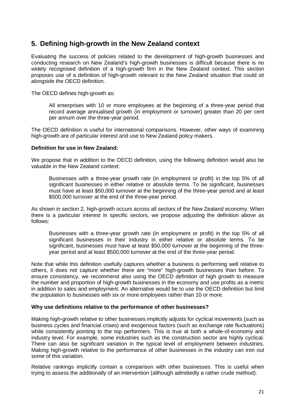## <span id="page-23-0"></span>**5. Defining high-growth in the New Zealand context**

Evaluating the success of policies related to the development of high-growth businesses and conducting research on New Zealand's high-growth businesses is difficult because there is no widely recognised definition of a high-growth firm in the New Zealand context. This section proposes use of a definition of high-growth relevant to the New Zealand situation that could sit alongside the OECD definition.

The OECD defines high-growth as:

All enterprises with 10 or more employees at the beginning of a three-year period that record average annualised growth (in employment or turnover) greater than 20 per cent per annum over the three-year period.

The OECD definition is useful for international comparisons. However, other ways of examining high-growth are of particular interest and use to New Zealand policy makers.

#### **Definition for use in New Zealand:**

We propose that in addition to the OECD definition, using the following definition would also be valuable in the New Zealand context:

Businesses with a three-year growth rate (in employment or profit) in the top 5% of all significant businesses in either relative or absolute terms. To be significant, businesses must have at least \$50,000 turnover at the beginning of the three-year period and at least \$500,000 turnover at the end of the three-year period.

As shown in section 2, high-growth occurs across all sectors of the New Zealand economy. When there is a particular interest in specific sectors, we propose adjusting the definition above as follows:

Businesses with a three-year growth rate (in employment or profit) in the top 5% of all significant businesses in their industry in either relative or absolute terms. To be significant, businesses must have at least \$50,000 turnover at the beginning of the threeyear period and at least \$500,000 turnover at the end of the three-year period.

Note that while this definition usefully captures whether a business is performing well relative to others, it does not capture whether there are "more" high-growth businesses than before. To ensure consistency, we recommend also using the OECD definition of high growth to measure the number and proportion of high-growth businesses in the economy and use profits as a metric in addition to sales and employment. An alternative would be to use the OECD definition but limit the population to businesses with six or more employees rather than 10 or more.

#### **Why use definitions relative to the performance of other businesses?**

Making high-growth relative to other businesses implicitly adjusts for cyclical movements (such as business cycles and financial crises) and exogenous factors (such as exchange rate fluctuations) while consistently pointing to the top performers. This is true at both a whole-of-economy and industry level. For example, some industries such as the construction sector are highly cyclical. There can also be significant variation in the typical level of employment between industries. Making high-growth relative to the performance of other businesses in the industry can iron out some of this variation.

Relative rankings implicitly contain a comparison with other businesses. This is useful when trying to assess the additionally of an intervention (although admittedly a rather crude method).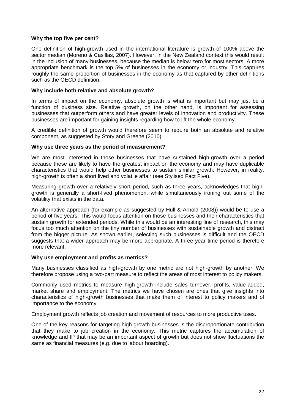#### **Why the top five per cent?**

One definition of high-growth used in the international literature is growth of 100% above the sector median (Moreno & Casillas, 2007). However, in the New Zealand context this would result in the inclusion of many businesses, because the median is below zero for most sectors. A more appropriate benchmark is the top 5% of businesses in the economy or industry. This captures roughly the same proportion of businesses in the economy as that captured by other definitions such as the OECD definition.

#### **Why include both relative and absolute growth?**

In terms of impact on the economy, absolute growth is what is important but may just be a function of business size. Relative growth, on the other hand, is important for assessing businesses that outperform others and have greater levels of innovation and productivity. These businesses are important for gaining insights regarding how to lift the whole economy.

A credible definition of growth would therefore seem to require both an absolute and relative component, as suggested by Story and Greene (2010).

#### **Why use three years as the period of measurement?**

We are most interested in those businesses that have sustained high-growth over a period because these are likely to have the greatest impact on the economy and may have duplicable characteristics that would help other businesses to sustain similar growth. However, in reality, high-growth is often a short lived and volatile affair (see Stylised Fact Five).

Measuring growth over a relatively short period, such as three years, acknowledges that highgrowth is generally a short-lived phenomenon, while simultaneously ironing out some of the volatility that exists in the data.

An alternative approach (for example as suggested by Hull & Arnold (2008)) would be to use a period of five years. This would focus attention on those businesses and their characteristics that sustain growth for extended periods. While this would be an interesting line of research, this may focus too much attention on the tiny number of businesses with sustainable growth and distract from the bigger picture. As shown earlier, selecting such businesses is difficult and the OECD suggests that a wider approach may be more appropriate. A three year time period is therefore more relevant.

#### **Why use employment and profits as metrics?**

Many businesses classified as high-growth by one metric are not high-growth by another. We therefore propose using a two-part measure to reflect the areas of most interest to policy makers.

Commonly used metrics to measure high-growth include sales turnover, profits, value-added, market share and employment. The metrics we have chosen are ones that give insights into characteristics of high-growth businesses that make them of interest to policy makers and of importance to the economy.

Employment growth reflects job creation and movement of resources to more productive uses.

One of the key reasons for targeting high-growth businesses is the disproportionate contribution that they make to job creation in the economy. This metric captures the accumulation of knowledge and IP that may be an important aspect of growth but does not show fluctuations the same as financial measures (e.g. due to labour hoarding).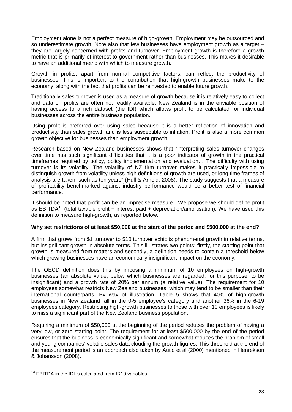Employment alone is not a perfect measure of high-growth. Employment may be outsourced and so underestimate growth. Note also that few businesses have employment growth as a target – they are largely concerned with profits and turnover. Employment growth is therefore a growth metric that is primarily of interest to government rather than businesses. This makes it desirable to have an additional metric with which to measure growth.

Growth in profits, apart from normal competitive factors, can reflect the productivity of businesses. This is important to the contribution that high-growth businesses make to the economy, along with the fact that profits can be reinvested to enable future growth.

Traditionally sales turnover is used as a measure of growth because it is relatively easy to collect and data on profits are often not readily available. New Zealand is in the enviable position of having access to a rich dataset (the IDI) which allows profit to be calculated for individual businesses across the entire business population.

Using profit is preferred over using sales because it is a better reflection of innovation and productivity than sales growth and is less susceptible to inflation. Profit is also a more common growth objective for businesses than employment growth.

Research based on New Zealand businesses shows that "interpreting sales turnover changes over time has such significant difficulties that it is a poor indicator of growth in the practical timeframes required by policy, policy implementation and evaluation… The difficulty with using turnover is its volatility. The volatility of NZ firm turnover makes it practically impossible to distinguish growth from volatility unless high definitions of growth are used, or long time frames of analysis are taken, such as ten years" (Hull & Arnold, 2008). The study suggests that a measure of profitability benchmarked against industry performance would be a better test of financial performance.

It should be noted that profit can be an imprecise measure. We propose we should define profit as EBITDA<sup>[13](#page-19-3)</sup> (total taxable profit + interest paid + depreciation/amortisation). We have used this definition to measure high-growth, as reported below.

#### **Why set restrictions of at least \$50,000 at the start of the period and \$500,000 at the end?**

A firm that grows from \$1 turnover to \$10 turnover exhibits phenomenal growth in relative terms, but insignificant growth in absolute terms. This illustrates two points: firstly, the starting point that growth is measured from matters and secondly, a definition needs to contain a threshold below which growing businesses have an economically insignificant impact on the economy.

The OECD definition does this by imposing a minimum of 10 employees on high-growth businesses (an absolute value, below which businesses are regarded, for this purpose, to be insignificant) and a growth rate of 20% per annum (a relative value). The requirement for 10 employees somewhat restricts New Zealand businesses, which may tend to be smaller than their international counterparts. By way of illustration, [Table 5](#page-17-0) shows that 40% of high-growth businesses in New Zealand fall in the 0-5 employee's category and another 36% in the 6-19 employees category. Restricting high-growth businesses to those with over 10 employees is likely to miss a significant part of the New Zealand business population.

Requiring a minimum of \$50,000 at the beginning of the period reduces the problem of having a very low, or zero starting point. The requirement for at least \$500,000 by the end of the period ensures that the business is economically significant and somewhat reduces the problem of small and young companies' volatile sales data clouding the growth figures. This threshold at the end of the measurement period is an approach also taken by Autio et al (2000) mentioned in Henrekson & Johansson (2008).

<span id="page-25-0"></span><sup>&</sup>lt;sup>13</sup> EBITDA in the IDI is calculated from IR10 variables.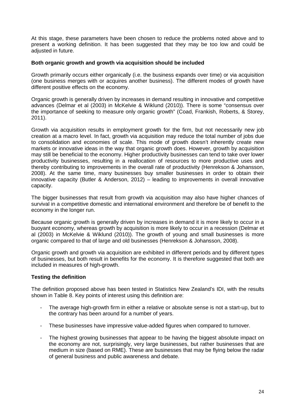At this stage, these parameters have been chosen to reduce the problems noted above and to present a working definition. It has been suggested that they may be too low and could be adjusted in future.

#### **Both organic growth and growth via acquisition should be included**

Growth primarily occurs either organically (i.e. the business expands over time) or via acquisition (one business merges with or acquires another business). The different modes of growth have different positive effects on the economy.

Organic growth is generally driven by increases in demand resulting in innovative and competitive advances (Delmar et al (2003) in McKelvie & Wiklund (2010)). There is some "consensus over the importance of seeking to measure only organic growth" (Coad, Frankish, Roberts, & Storey, 2011).

Growth via acquisition results in employment growth for the firm, but not necessarily new job creation at a macro level. In fact, growth via acquisition may reduce the total number of jobs due to consolidation and economies of scale. This mode of growth doesn't inherently create new markets or innovative ideas in the way that organic growth does. However, growth by acquisition may still be beneficial to the economy. Higher productivity businesses can tend to take over lower productivity businesses, resulting in a reallocation of resources to more productive uses and thereby contributing to improvements in the overall rate of productivity (Henrekson & Johansson, 2008). At the same time, many businesses buy smaller businesses in order to obtain their innovative capacity (Butler & Anderson, 2012) – leading to improvements in overall innovative capacity.

The bigger businesses that result from growth via acquisition may also have higher chances of survival in a competitive domestic and international environment and therefore be of benefit to the economy in the longer run.

Because organic growth is generally driven by increases in demand it is more likely to occur in a buoyant economy, whereas growth by acquisition is more likely to occur in a recession (Delmar et al (2003) in McKelvie & Wiklund (2010)). The growth of young and small businesses is more organic compared to that of large and old businesses (Henrekson & Johansson, 2008).

Organic growth and growth via acquisition are exhibited in different periods and by different types of businesses, but both result in benefits for the economy. It is therefore suggested that both are included in measures of high-growth.

#### **Testing the definition**

The definition proposed above has been tested in Statistics New Zealand's IDI, with the results shown in [Table 8.](#page-27-0) Key points of interest using this definition are:

- The average high-growth firm in either a relative or absolute sense is not a start-up, but to the contrary has been around for a number of years.
- These businesses have impressive value-added figures when compared to turnover.
- The highest growing businesses that appear to be having the biggest absolute impact on the economy are not, surprisingly, very large businesses, but rather businesses that are medium in size (based on RME). These are businesses that may be flying below the radar of general business and public awareness and debate.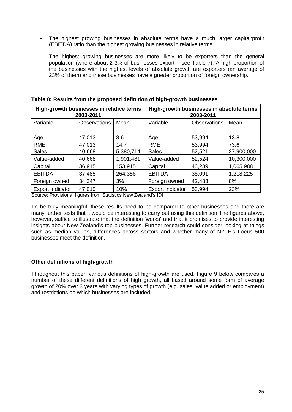- The highest growing businesses in absolute terms have a much larger capital:profit (EBITDA) ratio than the highest growing businesses in relative terms.
- The highest growing businesses are more likely to be exporters than the general population (where about 2-3% of businesses export – see [Table 7\)](#page-19-1). A high proportion of the businesses with the highest levels of absolute growth are exporters (an average of 23% of them) and these businesses have a greater proportion of foreign ownership.

| High-growth businesses in relative terms<br>2003-2011 |                     |           | High-growth businesses in absolute terms<br>2003-2011 |                     |            |
|-------------------------------------------------------|---------------------|-----------|-------------------------------------------------------|---------------------|------------|
| Variable                                              | <b>Observations</b> | Mean      | Variable                                              | <b>Observations</b> | Mean       |
|                                                       |                     |           |                                                       |                     |            |
| Age                                                   | 47,013              | 8.6       | Age                                                   | 53,994              | 13.8       |
| <b>RME</b>                                            | 47,013              | 14.7      | <b>RME</b>                                            | 53,994              | 73.6       |
| <b>Sales</b>                                          | 40,668              | 5,380,714 | <b>Sales</b>                                          | 52,521              | 27,900,000 |
| Value-added                                           | 40,668              | 1,901,481 | Value-added                                           | 52,524              | 10,300,000 |
| Capital                                               | 36,915              | 153,915   | Capital                                               | 43,239              | 1,065,988  |
| <b>EBITDA</b>                                         | 37,485              | 264,356   | <b>EBITDA</b>                                         | 38,091              | 1,218,225  |
| Foreign owned                                         | 34,347              | 3%        | Foreign owned                                         | 42,483              | 8%         |
| <b>Export indicator</b>                               | 47,010              | 10%       | <b>Export indicator</b>                               | 53,994              | 23%        |

<span id="page-27-0"></span>**Table 8: Results from the proposed definition of high-growth businesses**

Source: Provisional figures from Statistics New Zealand's IDI

To be truly meaningful, these results need to be compared to other businesses and there are many further tests that it would be interesting to carry out using this definition The figures above, however, suffice to illustrate that the definition 'works' and that it promises to provide interesting insights about New Zealand's top businesses. Further research could consider looking at things such as median values, differences across sectors and whether many of NZTE's Focus 500 businesses meet the definition.

#### **Other definitions of high-growth**

Throughout this paper, various definitions of high-growth are used. Figure 9 below compares a number of these different definitions of high growth, all based around some form of average growth of 20% over 3 years with varying types of growth (e.g. sales, value added or employment) and restrictions on which businesses are included.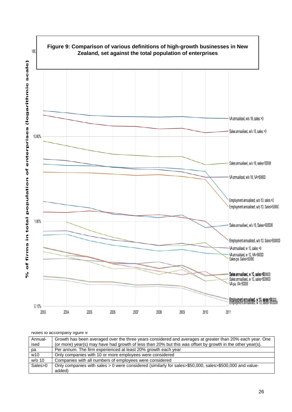

#### Notes to accompany figure 9

<span id="page-28-0"></span>

| Annual- | Growth has been averaged over the three years considered and averages at greater than 20% each year. One   |
|---------|------------------------------------------------------------------------------------------------------------|
| ised    | (or more) year(s) may have had growth of less than 20% but this was offset by growth in the other year(s). |
| рa      | Per annum. The firm experienced at least 20% growth each year                                              |
| w10     | Only companies with 10 or more employees were considered                                                   |
| w/o 10  | Companies with all numbers of employees were considered                                                    |
| Sales>0 | Only companies with sales > 0 were considered (similarly for sales>\$50,000, sales>\$500,000 and value-    |
|         | added)                                                                                                     |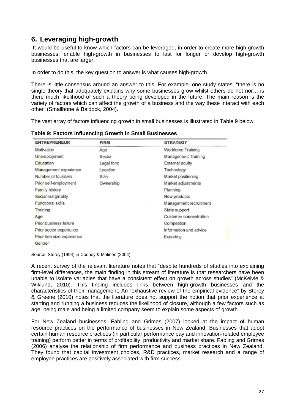## <span id="page-29-0"></span>**6. Leveraging high-growth**

It would be useful to know which factors can be leveraged, in order to create more high-growth businesses, enable high-growth in businesses to last for longer or develop high-growth businesses that are larger.

In order to do this, the key question to answer is what causes high-growth

There is little consensus around an answer to this. For example, one study states, "there is no single theory that adequately explains why some businesses grow whilst others do not nor… is there much likelihood of such a theory being developed in the future. The main reason is the variety of factors which can affect the growth of a business and the way these interact with each other" (Smallbone & Baldock, 2004).

The vast array of factors influencing growth in small businesses is illustrated in [Table 9](#page-29-1) below.

| <b>ENTREPRENEUR</b>        | <b>FIRM</b> | <b>STRATEGY</b>        |
|----------------------------|-------------|------------------------|
| Motivation                 | Age         | Workforce Training     |
| Unemployment               | Sector      | Management Training    |
| Education                  | Legal form  | External equity        |
| Management experience      | Location    | Technology             |
| Number of founders         | Size        | Market positioning     |
| Prior self-employment      | Ownership   | Market adjustments     |
| Family history             |             | Planning               |
| Social marginality         |             | New products           |
| Functional skills          |             | Management recruitment |
| Training                   |             | State support          |
| Age                        |             | Customer concentration |
| Prior business failure     |             | Competition            |
| Prior sector experience    |             | Information and advice |
| Prior firm size experience |             | Exporting              |
| Gender                     |             |                        |

<span id="page-29-1"></span>**Table 9: Factors Influencing Growth in Small Businesses**

Source: Storey (1994) in Cooney & Malinen (2004)

A recent survey of the relevant literature notes that "despite hundreds of studies into explaining firm-level differences, the main finding in this stream of literature is that researchers have been unable to isolate variables that have a consistent effect on growth across studies" (McKelvie & Wiklund, 2010). This finding includes links between high-growth businesses and the characteristics of their management. An "exhaustive review of the empirical evidence" by Storey & Greene (2010) notes that the literature does not support the notion that prior experience at starting and running a business reduces the likelihood of closure, although a few factors such as age, being male and being a limited company seem to explain some aspects of growth.

For New Zealand businesses, Fabling and Grimes (2007) looked at the impact of human resource practices on the performance of businesses in New Zealand. Businesses that adopt certain human resource practices (in particular performance pay and innovation-related employee training) perform better in terms of profitability, productivity and market share. Fabling and Grimes (2006) analyse the relationship of firm performance and business practices in New Zealand. They found that capital investment choices, R&D practices, market research and a range of employee practices are positively associated with firm success.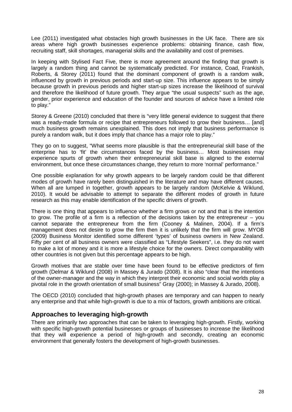Lee (2011) investigated what obstacles high growth businesses in the UK face. There are six areas where high growth businesses experience problems: obtaining finance, cash flow, recruiting staff, skill shortages, managerial skills and the availability and cost of premises.

In keeping with Stylised Fact Five, there is more agreement around the finding that growth is largely a random thing and cannot be systematically predicted. For instance, Coad, Frankish, Roberts, & Storey (2011) found that the dominant component of growth is a random walk, influenced by growth in previous periods and start-up size. This influence appears to be simply because growth in previous periods and higher start-up sizes increase the likelihood of survival and therefore the likelihood of future growth. They argue "the usual suspects" such as the age, gender, prior experience and education of the founder and sources of advice have a limited role to play."

Storey & Greene (2010) concluded that there is "very little general evidence to suggest that there was a ready-made formula or recipe that entrepreneurs followed to grow their business… [and] much business growth remains unexplained. This does not imply that business performance is purely a random walk, but it does imply that chance has a major role to play."

They go on to suggest, "What seems more plausible is that the entrepreneurial skill base of the enterprise has to 'fit' the circumstances faced by the business… Most businesses may experience spurts of growth when their entrepreneurial skill base is aligned to the external environment, but once these circumstances change, they return to more 'normal' performance."

One possible explanation for why growth appears to be largely random could be that different modes of growth have rarely been distinguished in the literature and may have different causes. When all are lumped in together, growth appears to be largely random (McKelvie & Wiklund, 2010). It would be advisable to attempt to separate the different modes of growth in future research as this may enable identification of the specific drivers of growth.

There is one thing that appears to influence whether a firm grows or not and that is the intention to grow. The profile of a firm is a reflection of the decisions taken by the entrepreneur  $-$  you cannot separate the entrepreneur from the firm (Cooney & Malinen, 2004). If a firm's management does not desire to grow the firm then it is unlikely that the firm will grow. MYOB (2009) Business Monitor identified some different 'types' of business owners in New Zealand. Fifty per cent of all business owners were classified as "Lifestyle Seekers", i.e. they do not want to make a lot of money and it is more a lifestyle choice for the owners. Direct comparability with other countries is not given but this percentage appears to be high.

Growth motives that are stable over time have been found to be effective predictors of firm growth (Delmar & Wiklund (2008) in Massey & Jurado (2008). It is also "clear that the intentions of the owner-manager and the way in which they interpret their economic and social worlds play a pivotal role in the growth orientation of small business" Gray (2000); in Massey & Jurado, 2008).

The OECD (2010) concluded that high-growth phases are temporary and can happen to nearly any enterprise and that while high-growth is due to a mix of factors, growth ambitions are critical.

## <span id="page-30-0"></span>**Approaches to leveraging high-growth**

There are primarily two approaches that can be taken to leveraging high-growth. Firstly, working with specific high-growth potential businesses or groups of businesses to increase the likelihood that they will experience a period of high-growth and secondly, creating an economic environment that generally fosters the development of high-growth businesses.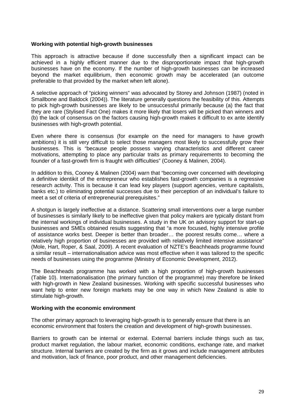#### **Working with potential high-growth businesses**

This approach is attractive because if done successfully then a significant impact can be achieved in a highly efficient manner due to the disproportionate impact that high-growth businesses have on the economy. If the number of high-growth businesses can be increased beyond the market equilibrium, then economic growth may be accelerated (an outcome preferable to that provided by the market when left alone).

A selective approach of "picking winners" was advocated by Storey and Johnson (1987) (noted in Smallbone and Baldock (2004)). The literature generally questions the feasibility of this. Attempts to pick high-growth businesses are likely to be unsuccessful primarily because (a) the fact that they are rare (Stylised Fact One) makes it more likely that losers will be picked than winners and (b) the lack of consensus on the factors causing high-growth makes it difficult to ex ante identify businesses with high-growth potential.

Even where there is consensus (for example on the need for managers to have growth ambitions) it is still very difficult to select those managers most likely to successfully grow their businesses. This is "because people possess varying characteristics and different career motivations, attempting to place any particular traits as primary requirements to becoming the founder of a fast-growth firm is fraught with difficulties" (Cooney & Malinen, 2004).

In addition to this, Cooney & Malinen (2004) warn that "becoming over concerned with developing a definitive identikit of the entrepreneur who establishes fast-growth companies is a regressive research activity. This is because it can lead key players (support agencies, venture capitalists, banks etc.) to eliminating potential successes due to their perception of an individual's failure to meet a set of criteria of entrepreneurial prerequisites."

A shotgun is largely ineffective at a distance. Scattering small interventions over a large number of businesses is similarly likely to be ineffective given that policy makers are typically distant from the internal workings of individual businesses. A study in the UK on advisory support for start-up businesses and SMEs obtained results suggesting that "a more focused, highly intensive profile of assistance works best. Deeper is better than broader… the poorest results come… where a relatively high proportion of businesses are provided with relatively limited intensive assistance" (Mole, Hart, Roper, & Saal, 2009). A recent evaluation of NZTE's Beachheads programme found a similar result – internationalisation advice was most effective when it was tailored to the specific needs of businesses using the programme (Ministry of Economic Development, 2012).

The Beachheads programme has worked with a high proportion of high-growth businesses [\(Table 10\)](#page-35-0). Internationalisation (the primary function of the programme) may therefore be linked with high-growth in New Zealand businesses. Working with specific successful businesses who want help to enter new foreign markets may be one way in which New Zealand is able to stimulate high-growth.

#### **Working with the economic environment**

The other primary approach to leveraging high-growth is to generally ensure that there is an economic environment that fosters the creation and development of high-growth businesses.

Barriers to growth can be internal or external. External barriers include things such as tax, product market regulation, the labour market, economic conditions, exchange rate, and market structure. Internal barriers are created by the firm as it grows and include management attributes and motivation, lack of finance, poor product, and other management deficiencies.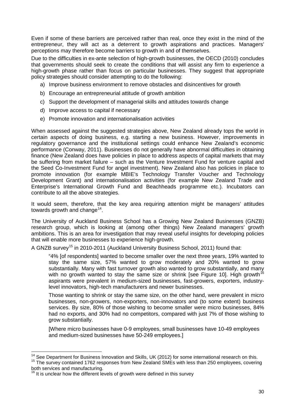Even if some of these barriers are perceived rather than real, once they exist in the mind of the entrepreneur, they will act as a deterrent to growth aspirations and practices. Managers' perceptions may therefore become barriers to growth in and of themselves.

Due to the difficulties in ex-ante selection of high-growth businesses, the OECD (2010) concludes that governments should seek to create the conditions that will assist any firm to experience a high-growth phase rather than focus on particular businesses. They suggest that appropriate policy strategies should consider attempting to do the following:

- a) Improve business environment to remove obstacles and disincentives for growth
- b) Encourage an entrepreneurial attitude of growth ambition
- c) Support the development of managerial skills and attitudes towards change
- d) Improve access to capital if necessary
- e) Promote innovation and internationalisation activities

When assessed against the suggested strategies above, New Zealand already tops the world in certain aspects of doing business, e.g. starting a new business. However, improvements in regulatory governance and the institutional settings could enhance New Zealand's economic performance (Conway, 2011). Businesses do not generally have abnormal difficulties in obtaining finance (New Zealand does have policies in place to address aspects of capital markets that may be suffering from market failure – such as the Venture Investment Fund for venture capital and the Seed Co-Investment Fund for angel investment). New Zealand also has policies in place to promote innovation (for example MBIE's Technology Transfer Voucher and Technology Development Grant) and internationalisation activities (for example New Zealand Trade and Enterprise's International Growth Fund and Beachheads programme etc.). Incubators can contribute to all the above strategies.

It would seem, therefore, that the key area requiring attention might be managers' attitudes towards growth and change<sup>[14](#page-25-0)</sup>.

The University of Auckland Business School has a Growing New Zealand Businesses (GNZB) research group, which is looking at (among other things) New Zealand managers' growth ambitions. This is an area for investigation that may reveal useful insights for developing policies that will enable more businesses to experience high-growth.

A GNZB survey<sup>[15](#page-32-0)</sup> in 2010-2011 (Auckland University Business School, 2011) found that:

"4% [of respondents] wanted to become smaller over the next three years, 19% wanted to stay the same size, 57% wanted to grow moderately and 20% wanted to grow substantially. Many with fast turnover growth also wanted to grow substantially, and many with no growth wanted to stay the same size or shrink [see [Figure 10\]](#page-33-0). High growth<sup>1</sup> aspirants were prevalent in medium-sized businesses, fast-growers, exporters, industrylevel innovators, high-tech manufacturers and newer businesses.

Those wanting to shrink or stay the same size, on the other hand, were prevalent in micro businesses, non-growers, non-exporters, non-innovators and (to some extent) business services. By size, 80% of those wishing to become smaller were micro businesses, 84% had no exports, and 30% had no competitors, compared with just 7% of those wishing to grow substantially.

[Where micro businesses have 0-9 employees, small businesses have 10-49 employees and medium-sized businesses have 50-249 employees.]

<span id="page-32-0"></span><sup>15</sup> The survey contained 1762 responses from New Zealand SMEs with less than 250 employees, covering both services and manufacturing.

<sup>&</sup>lt;sup>14</sup> See Department for Business Innovation and Skills, UK (2012) for some international research on this.

<span id="page-32-1"></span> $16$  It is unclear how the different levels of growth were defined in this survey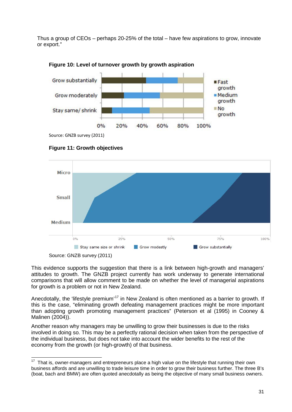Thus a group of CEOs – perhaps 20-25% of the total – have few aspirations to grow, innovate or export."



<span id="page-33-0"></span>**Figure 10: Level of turnover growth by growth aspiration** 

Source: GNZB survey (2011)

**Figure 11: Growth objectives**



Source: GNZB survey (2011)

This evidence supports the suggestion that there is a link between high-growth and managers' attitudes to growth. The GNZB project currently has work underway to generate international comparisons that will allow comment to be made on whether the level of managerial aspirations for growth is a problem or not in New Zealand.

Anecdotally, the 'lifestyle premium'<sup>[17](#page-32-0)</sup> in New Zealand is often mentioned as a barrier to growth. If this is the case, "eliminating growth defeating management practices might be more important than adopting growth promoting management practices" (Peterson et al (1995) in Cooney & Malinen (2004)).

Another reason why managers may be unwilling to grow their businesses is due to the risks involved in doing so. This may be a perfectly rational decision when taken from the perspective of the individual business, but does not take into account the wider benefits to the rest of the economy from the growth (or high-growth) of that business.

<span id="page-33-1"></span><sup>&</sup>lt;sup>17</sup> That is, owner-managers and entrepreneurs place a high value on the lifestyle that running their own business affords and are unwilling to trade leisure time in order to grow their business further. The three B's (boat, bach and BMW) are often quoted anecdotally as being the objective of many small business owners.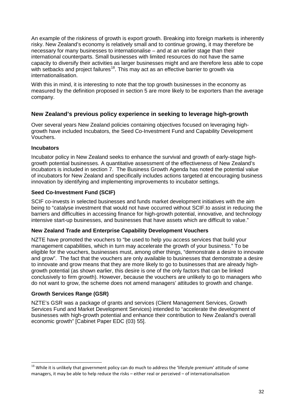An example of the riskiness of growth is export growth. Breaking into foreign markets is inherently risky. New Zealand's economy is relatively small and to continue growing, it may therefore be necessary for many businesses to internationalise – and at an earlier stage than their international counterparts. Small businesses with limited resources do not have the same capacity to diversify their activities as larger businesses might and are therefore less able to cope with setbacks and project failures<sup>[18](#page-33-1)</sup>. This may act as an effective barrier to growth via internationalisation.

With this in mind, it is interesting to note that the top growth businesses in the economy as measured by the definition proposed in section 5 are more likely to be exporters than the average company.

#### <span id="page-34-0"></span>**New Zealand's previous policy experience in seeking to leverage high-growth**

Over several years New Zealand policies containing objectives focused on leveraging highgrowth have included Incubators, the Seed Co-Investment Fund and Capability Development Vouchers.

#### **Incubators**

Incubator policy in New Zealand seeks to enhance the survival and growth of early-stage highgrowth potential businesses. A quantitative assessment of the effectiveness of New Zealand's incubators is included in section [7.](#page-36-0) The Business Growth Agenda has noted the potential value of incubators for New Zealand and specifically includes actions targeted at encouraging business innovation by identifying and implementing improvements to incubator settings.

#### **Seed Co-Investment Fund (SCIF)**

SCIF co-invests in selected businesses and funds market development initiatives with the aim being to "catalyse investment that would not have occurred without SCIF.to assist in reducing the barriers and difficulties in accessing finance for high-growth potential, innovative, and technology intensive start-up businesses, and businesses that have assets which are difficult to value."

#### **New Zealand Trade and Enterprise Capability Development Vouchers**

NZTE have promoted the vouchers to "be used to help you access services that build your management capabilities, which in turn may accelerate the growth of your business." To be eligible for the vouchers, businesses must, among other things, "demonstrate a desire to innovate and grow". The fact that the vouchers are only available to businesses that demonstrate a desire to innovate and grow means that they are more likely to go to businesses that are already highgrowth potential (as shown earlier, this desire is one of the only factors that can be linked conclusively to firm growth). However, because the vouchers are unlikely to go to managers who do not want to grow, the scheme does not amend managers' attitudes to growth and change.

#### **Growth Services Range (GSR)**

NZTE's GSR was a package of grants and services (Client Management Services, Growth Services Fund and Market Development Services) intended to "accelerate the development of businesses with high-growth potential and enhance their contribution to New Zealand's overall economic growth" [Cabinet Paper EDC (03) 55].

<span id="page-34-1"></span> $18$  While it is unlikely that government policy can do much to address the 'lifestyle premium' attitude of some managers, it may be able to help reduce the risks – either real or perceived – of internationalisation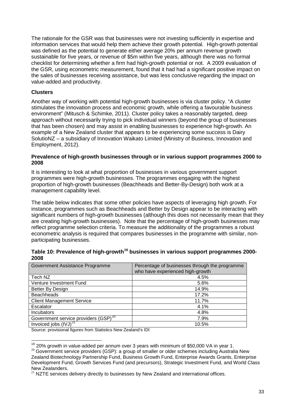The rationale for the GSR was that businesses were not investing sufficiently in expertise and information services that would help them achieve their growth potential. High-growth potential was defined as the potential to generate either average 20% per annum revenue growth sustainable for five years, or revenue of \$5m within five years, although there was no formal checklist for determining whether a firm had high-growth potential or not. A 2009 evaluation of the GSR, using econometric measurement, found that it had had a significant positive impact on the sales of businesses receiving assistance, but was less conclusive regarding the impact on value-added and productivity.

#### **Clusters**

Another way of working with potential high-growth businesses is via cluster policy. "A cluster stimulates the innovation process and economic growth, while offering a favourable business environment" (Mitusch & Schimke, 2011). Cluster policy takes a reasonably targeted, deep approach without necessarily trying to pick individual winners (beyond the group of businesses that has been chosen) and may assist in enabling businesses to experience high-growth. An example of a New Zealand cluster that appears to be experiencing some success is Dairy SolutioNZ – a subsidiary of Innovation Waikato Limited (Ministry of Business, Innovation and Employment, 2012).

#### **Prevalence of high-growth businesses through or in various support programmes 2000 to 2008**

It is interesting to look at what proportion of businesses in various government support programmes were high-growth businesses. The programmes engaging with the highest proportion of high-growth businesses (Beachheads and Better-By-Design) both work at a management capability level.

The table below indicates that some other policies have aspects of leveraging high growth. For instance, programmes such as Beachheads and Better by Design appear to be interacting with significant numbers of high-growth businesses (although this does not necessarily mean that they are creating high-growth businesses). Note that the percentage of high-growth businesses may reflect programme selection criteria. To measure the additionality of the programmes a robust econometric analysis is required that compares businesses in the programme with similar, nonparticipating businesses.

<span id="page-35-0"></span>

| Table 10: Prevalence of high-growth <sup>19</sup> businesses in various support programmes 2000- |  |  |
|--------------------------------------------------------------------------------------------------|--|--|
| 2008                                                                                             |  |  |

| Government Assistance Programme                  | Percentage of businesses through the programme<br>who have experienced high-growth |
|--------------------------------------------------|------------------------------------------------------------------------------------|
| Tech NZ                                          | 4.5%                                                                               |
| Venture Investment Fund                          | 5.6%                                                                               |
| Better By Design                                 | 14.9%                                                                              |
| <b>Beachheads</b>                                | 17.2%                                                                              |
| <b>Client Management Service</b>                 | 11.7%                                                                              |
| Escalator                                        | 4.1%                                                                               |
| <b>Incubators</b>                                | 4.8%                                                                               |
| Government service providers (GSP) <sup>20</sup> | 7.9%                                                                               |
| Invoiced jobs $(IVJ)^{21}$                       | 10.5%                                                                              |

Source: provisional figures from Statistics New Zealand's IDI

<span id="page-35-1"></span><sup>&</sup>lt;sup>19</sup> 20% growth in value-added per annum over 3 years with minimum of \$50,000 VA in year 1.<br><sup>20</sup> Government service providers (GSP): a group of smaller or older schemes including Australia New Zealand Biotechnology Partnership Fund, Business Growth Fund, Enterprise Awards Grants, Enterprise Development Fund, Growth Services Fund (and precursors), Strategic Investment Fund, and World Class New Zealanders.<br><sup>21</sup> NZTE services delivery directly to businesses by New Zealand and international offices.

<span id="page-35-3"></span><span id="page-35-2"></span>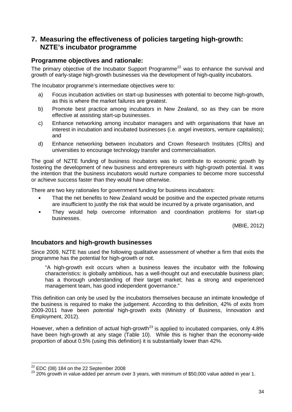## <span id="page-36-0"></span>**7. Measuring the effectiveness of policies targeting high-growth: NZTE's incubator programme**

### <span id="page-36-1"></span>**Programme objectives and rationale:**

The primary objective of the Incubator Support Programme<sup>[22](#page-35-3)</sup> was to enhance the survival and growth of early-stage high-growth businesses via the development of high-quality incubators.

The Incubator programme's intermediate objectives were to:

- a) Focus incubation activities on start-up businesses with potential to become high-growth, as this is where the market failures are greatest.
- b) Promote best practice among incubators in New Zealand, so as they can be more effective at assisting start-up businesses.
- c) Enhance networking among incubator managers and with organisations that have an interest in incubation and incubated businesses (i.e. angel investors, venture capitalists); and
- d) Enhance networking between incubators and Crown Research Institutes (CRIs) and universities to encourage technology transfer and commercialisation.

The goal of NZTE funding of business incubators was to contribute to economic growth by fostering the development of new business and entrepreneurs with high-growth potential. It was the intention that the business incubators would nurture companies to become more successful or achieve success faster than they would have otherwise.

There are two key rationales for government funding for business incubators:

- That the net benefits to New Zealand would be positive and the expected private returns are insufficient to justify the risk that would be incurred by a private organisation, and
- They would help overcome information and coordination problems for start-up businesses.

(MBIE, 2012)

## <span id="page-36-2"></span>**Incubators and high-growth businesses**

Since 2009, NZTE has used the following qualitative assessment of whether a firm that exits the programme has the potential for high-growth or not.

"A high-growth exit occurs when a business leaves the incubator with the following characteristics: is globally ambitious, has a well-thought out and executable business plan; has a thorough understanding of their target market; has a strong and experienced management team, has good independent governance."

This definition can only be used by the incubators themselves because an intimate knowledge of the business is required to make the judgement. According to this definition, 42% of exits from 2009-2011 have been *potential* high-growth exits (Ministry of Business, Innovation and Employment, 2012).

However, when a definition of actual high-growth<sup>[23](#page-36-3)</sup> is applied to incubated companies, only 4.8% have been high-growth at any stage [\(Table 10\)](#page-35-0). While this is higher than the economy-wide proportion of about 0.5% (using this definition) it is substantially lower than 42%.

<span id="page-36-3"></span><sup>&</sup>lt;sup>22</sup> EDC (08) 184 on the 22 September 2008<br><sup>23</sup> 20% growth in value-added per annum over 3 years, with minimum of \$50,000 value added in year 1.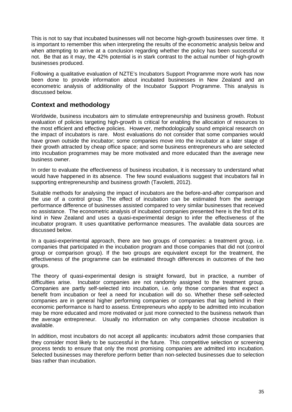This is not to say that incubated businesses will not become high-growth businesses over time. It is important to remember this when interpreting the results of the econometric analysis below and when attempting to arrive at a conclusion regarding whether the policy has been successful or not. Be that as it may, the 42% potential is in stark contrast to the actual number of high-growth businesses produced.

Following a qualitative evaluation of NZTE's Incubators Support Programme more work has now been done to provide information about incubated businesses in New Zealand and an econometric analysis of additionality of the Incubator Support Programme. This analysis is discussed below.

## <span id="page-37-0"></span>**Context and methodology**

Worldwide, business incubators aim to stimulate entrepreneurship and business growth. Robust evaluation of policies targeting high-growth is critical for enabling the allocation of resources to the most efficient and effective policies. However, methodologically sound empirical research on the impact of incubators is rare. Most evaluations do not consider that some companies would have grown outside the incubator; some companies move into the incubator at a later stage of their growth attracted by cheap office space; and some business entrepreneurs who are selected into incubation programmes may be more motivated and more educated than the average new business owner.

In order to evaluate the effectiveness of business incubation, it is necessary to understand what would have happened in its absence. The few sound evaluations suggest that incubators fail in supporting entrepreneurship and business growth (Tavoletti, 2012).

Suitable methods for analysing the impact of incubators are the before-and-after comparison and the use of a control group. The effect of incubation can be estimated from the average performance difference of businesses assisted compared to very similar businesses that received no assistance. The econometric analysis of incubated companies presented here is the first of its kind in New Zealand and uses a quasi-experimental design to infer the effectiveness of the incubator program. It uses quantitative performance measures. The available data sources are discussed below.

In a quasi-experimental approach, there are two groups of companies: a treatment group, i.e. companies that participated in the incubation program and those companies that did not (control group or comparison group). If the two groups are equivalent except for the treatment, the effectiveness of the programme can be estimated through differences in outcomes of the two groups.

The theory of quasi-experimental design is straight forward, but in practice, a number of difficulties arise. Incubator companies are not randomly assigned to the treatment group. Companies are partly self-selected into incubation, i.e. only those companies that expect a benefit from incubation or feel a need for incubation will do so. Whether these self-selected companies are in general higher performing companies or companies that lag behind in their economic performance is hard to assess. Entrepreneurs who apply to be admitted into incubation may be more educated and more motivated or just more connected to the business network than the average entrepreneur. Usually no information on why companies choose incubation is available.

In addition, most incubators do not accept all applicants: incubators admit those companies that they consider most likely to be successful in the future. This competitive selection or screening process tends to ensure that only the most promising companies are admitted into incubation. Selected businesses may therefore perform better than non-selected businesses due to selection bias rather than incubation.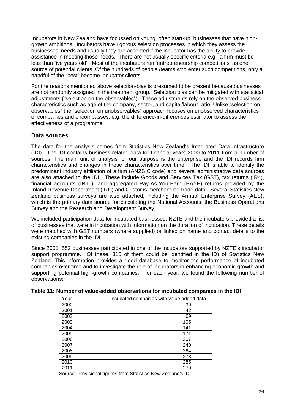Incubators in New Zealand have focussed on young, often start-up, businesses that have highgrowth ambitions. Incubators have rigorous selection processes in which they assess the businesses' needs and usually they are accepted if the incubator has the ability to provide assistance in meeting those needs. There are not usually specific criteria e.g. 'a firm must be less than five years old'. Most of the incubators run 'entrepreneurship competitions' as one source of potential clients. Of the hundreds of people /teams who enter such competitions, only a handful of the "best" become incubator clients.

For the reasons mentioned above selection-bias is presumed to be present because businesses are not randomly assigned in the treatment group. Selection bias can be mitigated with statistical adjustments ("selection on the observables"). These adjustments rely on the observed business characteristics such as age of the company, sector, and capital/labour ratio. Unlike "selection on observables" the "selection on unobservables" approach focuses on unobserved characteristics of companies and encompasses, e.g. the difference-in-differences estimator to assess the effectiveness of a programme.

#### **Data sources**

The data for the analysis comes from Statistics New Zealand's Integrated Data Infrastructure (IDI). The IDI contains business-related data for financial years 2000 to 2011 from a number of sources. The main unit of analysis for our purpose is the enterprise and the IDI records firm characteristics and changes in these characteristics over time. The IDI is able to identify the predominant industry affiliation of a firm (ANZSIC code) and several administrative data sources are also attached to the IDI. These include Goods and Services Tax (GST), tax returns (IR4), financial accounts (IR10), and aggregated Pay-As-You-Earn (PAYE) returns provided by the Inland Revenue Department (IRD) and Customs merchandise trade data. Several Statistics New Zealand business surveys are also attached, including the Annual Enterprise Survey (AES), which is the primary data source for calculating the National Accounts; the Business Operations Survey and the Research and Development Survey.

We included participation data for incubated businesses. NZTE and the incubators provided a list of businesses that were in incubation with information on the duration of incubation. These details were matched with GST numbers (where supplied) or linked on name and contact details to the existing companies in the IDI.

Since 2001, 552 businesses participated in one of the incubators supported by NZTE's incubator support programme. Of these, 315 of them could be identified in the ID) of Statistics New Zealand. This information provides a good database to monitor the performance of incubated companies over time and to investigate the role of incubators in enhancing economic growth and supporting potential high-growth companies. For each year, we found the following number of observations:

| Year | Incubated companies with value added data |
|------|-------------------------------------------|
| 2000 | 30                                        |
| 2001 | 42                                        |
| 2002 | 69                                        |
| 2003 | 105                                       |
| 2004 | 141                                       |
| 2005 | 171                                       |
| 2006 | 207                                       |
| 2007 | 240                                       |
| 2008 | 264                                       |
| 2009 | 273                                       |
| 2010 | 285                                       |
| 2011 | 279                                       |

**Table 11: Number of value-added observations for incubated companies in the IDI** 

Source: Provisional figures from Statistics New Zealand's IDI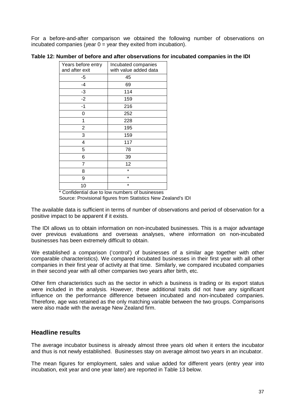For a before-and-after comparison we obtained the following number of observations on incubated companies (year  $0 =$  year they exited from incubation).

<span id="page-39-1"></span>

| Table 12: Number of before and after observations for incubated companies in the IDI |  |
|--------------------------------------------------------------------------------------|--|
|--------------------------------------------------------------------------------------|--|

| Years before entry<br>and after exit | Incubated companies<br>with value added data |
|--------------------------------------|----------------------------------------------|
| -5                                   | 45                                           |
| $-4$                                 | 69                                           |
| $-3$                                 | 114                                          |
| $-2$                                 | 159                                          |
| $-1$                                 | 216                                          |
| 0                                    | 252                                          |
| 1                                    | 228                                          |
| 2                                    | 195                                          |
| 3                                    | 159                                          |
| 4                                    | 117                                          |
| 5                                    | 78                                           |
| 6                                    | 39                                           |
| 7                                    | 12                                           |
| 8                                    | $\star$                                      |
| 9                                    | $\star$                                      |
| 10                                   | $\star$                                      |

<sup>\*</sup> Confidential due to low numbers of businesses

Source: Provisional figures from Statistics New Zealand's IDI

The available data is sufficient in terms of number of observations and period of observation for a positive impact to be apparent if it exists.

The IDI allows us to obtain information on non-incubated businesses. This is a major advantage over previous evaluations and overseas analyses, where information on non-incubated businesses has been extremely difficult to obtain.

We established a comparison ('control') of businesses of a similar age together with other comparable characteristics). We compared incubated businesses in their first year with all other companies in their first year of activity at that time. Similarly, we compared incubated companies in their second year with all other companies two years after birth, etc.

Other firm characteristics such as the sector in which a business is trading or its export status were included in the analysis. However, these additional traits did not have any significant influence on the performance difference between incubated and non-incubated companies. Therefore, age was retained as the only matching variable between the two groups. Comparisons were also made with the average New Zealand firm.

## <span id="page-39-0"></span>**Headline results**

The average incubator business is already almost three years old when it enters the incubator and thus is not newly established. Businesses stay on average almost two years in an incubator.

The mean figures for employment, sales and value added for different years (entry year into incubation, exit year and one year later) are reported in [Table 13](#page-40-0) below.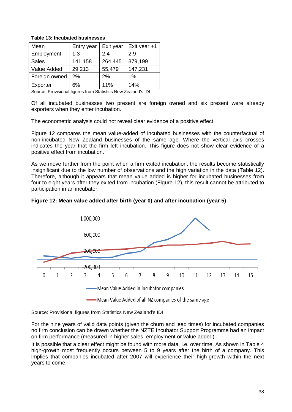| Mean          | Entry year | Exit year | Exit year +1 |
|---------------|------------|-----------|--------------|
| Employment    | 1.3        | 2.4       | 2.9          |
| <b>Sales</b>  | 141,158    | 264,445   | 379,199      |
| Value Added   | 29,213     | 55,479    | 147,231      |
| Foreign owned | 2%         | 2%        | 1%           |
| Exporter      | 6%         | 11%       | 14%          |

#### <span id="page-40-0"></span>**Table 13: Incubated businesses**

Source: Provisional figures from Statistics New Zealand's IDI

Of all incubated businesses two present are foreign owned and six present were already exporters when they enter incubation.

The econometric analysis could not reveal clear evidence of a positive effect.

[Figure 12](#page-40-1) compares the mean value-added of incubated businesses with the counterfactual of non-incubated New Zealand businesses of the same age. Where the vertical axis crosses indicates the year that the firm left incubation. This figure does not show clear evidence of a positive effect from incubation.

As we move further from the point when a firm exited incubation, the results become statistically insignificant due to the low number of observations and the high variation in the data [\(Table 12\)](#page-39-1). Therefore, although it appears that mean value added is higher for incubated businesses from four to eight years after they exited from incubation [\(Figure 12\)](#page-40-1), this result cannot be attributed to participation in an incubator.

<span id="page-40-1"></span>



Source: Provisional figures from Statistics New Zealand's IDI

For the nine years of valid data points (given the churn and lead times) for incubated companies no firm conclusion can be drawn whether the NZTE Incubator Support Programme had an impact on firm performance (measured in higher sales, employment or value added).

It is possible that a clear effect might be found with more data, i.e. over time. As shown in [Table 4](#page-16-2) high-growth most frequently occurs between 5 to 9 years after the birth of a company. This implies that companies incubated after 2007 will experience their high-growth within the next years to come.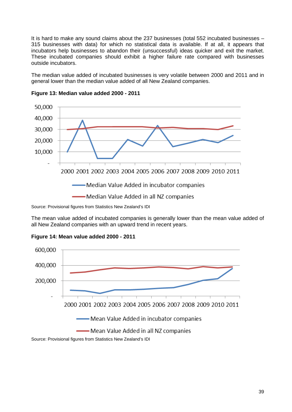It is hard to make any sound claims about the 237 businesses (total 552 incubated businesses – 315 businesses with data) for which no statistical data is available. If at all, it appears that incubators help businesses to abandon their (unsuccessful) ideas quicker and exit the market. These incubated companies should exhibit a higher failure rate compared with businesses outside incubators.

The median value added of incubated businesses is very volatile between 2000 and 2011 and in general lower than the median value added of all New Zealand companies.



**Figure 13: Median value added 2000 - 2011**

Source: Provisional figures from Statistics New Zealand's IDI

The mean value added of incubated companies is generally lower than the mean value added of all New Zealand companies with an upward trend in recent years.



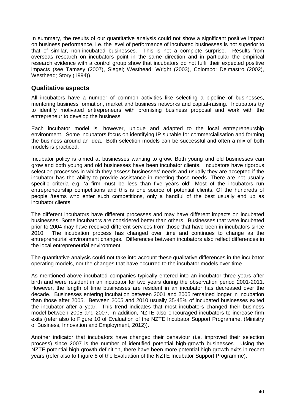In summary, the results of our quantitative analysis could not show a significant positive impact on business performance, i.e. the level of performance of incubated businesses is not superior to that of similar, non-incubated businesses. This is not a complete surprise. Results from overseas research on incubators point in the same direction and in particular the empirical research evidence with a control group show that incubators do not fulfil their expected positive impacts (see Tamasy (2007), Siegel; Westhead; Wright (2003), Colombo; Delmastro (2002), Westhead; Story (1994)).

#### <span id="page-42-0"></span>**Qualitative aspects**

All incubators have a number of common activities like selecting a pipeline of businesses, mentoring business formation, market and business networks and capital-raising. Incubators try to identify motivated entrepreneurs with promising business proposal and work with the entrepreneur to develop the business.

Each incubator model is, however, unique and adapted to the local entrepreneurship environment. Some incubators focus on identifying IP suitable for commercialisation and forming the business around an idea. Both selection models can be successful and often a mix of both models is practiced.

Incubator policy is aimed at businesses wanting to grow. Both young and old businesses can grow and both young and old businesses have been incubator clients. Incubators have rigorous selection processes in which they assess businesses' needs and usually they are accepted if the incubator has the ability to provide assistance in meeting those needs. There are not usually specific criteria e.g. 'a firm must be less than five years old'. Most of the incubators run entrepreneurship competitions and this is one source of potential clients. Of the hundreds of people /teams who enter such competitions, only a handful of the best usually end up as incubator clients.

The different incubators have different processes and may have different impacts on incubated businesses. Some incubators are considered better than others. Businesses that were incubated prior to 2004 may have received different services from those that have been in incubators since<br>2010. The incubation process has changed over time and continues to change as the The incubation process has changed over time and continues to change as the entrepreneurial environment changes. Differences between incubators also reflect differences in the local entrepreneurial environment.

The quantitative analysis could not take into account these qualitative differences in the incubator operating models, nor the changes that have occurred to the incubator models over time.

As mentioned above incubated companies typically entered into an incubator three years after birth and were resident in an incubator for two years during the observation period 2001-2011. However, the length of time businesses are resident in an incubator has decreased over the decade. Businesses entering incubation between 2001 and 2005 remained longer in incubation than those after 2005. Between 2005 and 2010 usually 35-45% of incubated businesses exited the incubator after a year. This trend indicates that most incubators changed their business model between 2005 and 2007. In addition, NZTE also encouraged incubators to increase firm exits (refer also to Figure 10 of Evaluation of the NZTE Incubator Support Programme, (Ministry of Business, Innovation and Employment, 2012)).

Another indicator that incubators have changed their behaviour (i.e. improved their selection process) since 2007 is the number of identified potential high-growth businesses. Using the NZTE potential high-growth definition, there have been more potential high-growth exits in recent years (refer also to Figure 8 of the Evaluation of the NZTE Incubator Support Programme).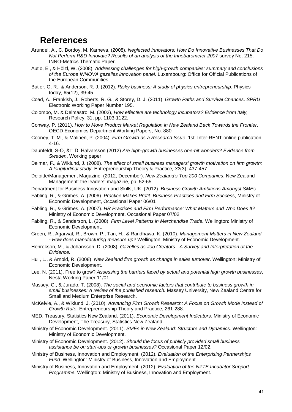## <span id="page-43-0"></span>**References**

- Arundel, A., C. Bordoy, M. Karneva, (2008). *Neglected Innovators: How Do Innovative Businesses That Do Not Perform R&D Innovate? Results of an analysis of the Innobarometer 2007* survey No. 215. INNO-Metrics Thematic Paper.
- Autio, E., & Hölzl, W. (2008). *Addressing challenges for high-growth companies: summary and conclusions of the Europe INNOVA gazelles innovation panel.* Luxembourg: Office for Official Publications of the European Communities.
- Butler, O. R., & Anderson, R. J. (2012). *Risky business: A study of physics entrepreneurship*. Physics today, 65(12), 39-45.
- Coad, A., Frankish, J., Roberts, R. G., & Storey, D. J. (2011). *Growth Paths and Survival Chances*. *SPRU*  Electronic Working Paper Number 195.
- Colombo, M. & Delmastro, M. (2002), *How effective are technology incubators? Evidence from Italy,* Research Policy, 31, pp. 1103-1122.
- Conway, P. (2011). *How to Move Product Market Regulation in New Zealand Back Towards the Frontier*. OECD Economics Department Working Papers, No. 880
- Cooney, T. M., & Malinen, P. (2004). *Firm Growth as a Research Issue*. 1st. Inter-RENT online publication, 4-16.
- Daunfeldt, S-O, &□ D. Halvarsson (2012) *Are high-growth businesses one-hit wonders? Evidence from Sweden*, Working paper
- Delmar, F., & Wiklund, J. (2008). *The effect of small business managers' growth motivation on firm growth: A longitudinal study.* Entrepreneurship Theory & Practice*, 32*(3), 437-457.
- Deloitte/Management Magazine. (2012, December). *New Zealand's Top 200 Companies*. New Zealand Management: the leaders' magazine, pp. 52-65.
- Department for Business Innovation and Skills, UK. (2012). *Business Growth Ambitions Amongst SMEs*.
- Fabling, R., & Grimes, A. (2006). *Practice Makes Profit: Business Practices and Firm Success*, Ministry of Economic Development, Occasional Paper 06/01
- Fabling, R., & Grimes, A. (2007). *HR Practices and Firm Performance: What Matters and Who Does It?* Ministry of Economic Development, Occasional Paper 07/02
- Fabling, R., & Sanderson, L. (2008). *Firm Level Patterns in Merchandise Trade.* Wellington: Ministry of Economic Development.
- Green, R., Agarwal, R., Brown, P., Tan, H., & Randhawa, K. (2010). *Management Matters in New Zealand - How does manufacturing measure up?* Wellington: Ministry of Economic Development.
- Henrekson, M., & Johansson, D. (2008). *Gazelles as Job Creators - A Survey and Interpretation of the Evidence.*
- Hull, L., & Arnold, R. (2008). *New Zealand firm growth as change in sales turnover.* Wellington: Ministry of Economic Development.
- Lee, N. (2011). Free to grow? *Assessing the barriers faced by actual and potential high growth businesses*, Nesta Working Paper 11/01
- Massey, C., & Jurado, T. (2008). *The social and economic factors that contribute to business growth in small businesses: A review of the published research.* Massey University, New Zealand Centre for Small and Medium Enterprise Research.
- McKelvie, A., & Wiklund, J. (2010). *Advancing Firm Growth Research: A Focus on Growth Mode Instead of Growth Rate.* Entrepreneurship Theory and Practice, 261-288.
- MED, Treasury, Statistics New Zealand. (2011). *Economic Development Indicators.* Ministry of Economic Development, The Treasury, Statistics New Zealand.
- Ministry of Economic Development. (2011). *SMEs in New Zealand: Structure and Dynamics*. Wellington: Ministry of Economic Development.
- Ministry of Economic Development. (2012). *Should the focus of publicly provided small business assistance be on start-ups or growth businesses?* Occasional Paper 12/02.
- Ministry of Business, Innovation and Employment. (2012). *Evaluation of the Enterprising Partnerships Fund*. Wellington: Ministry of Business, Innovation and Employment.
- Ministry of Business, Innovation and Employment. (2012). *Evaluation of the NZTE Incubator Support Programme.* Wellington: Ministry of Business, Innovation and Employment.